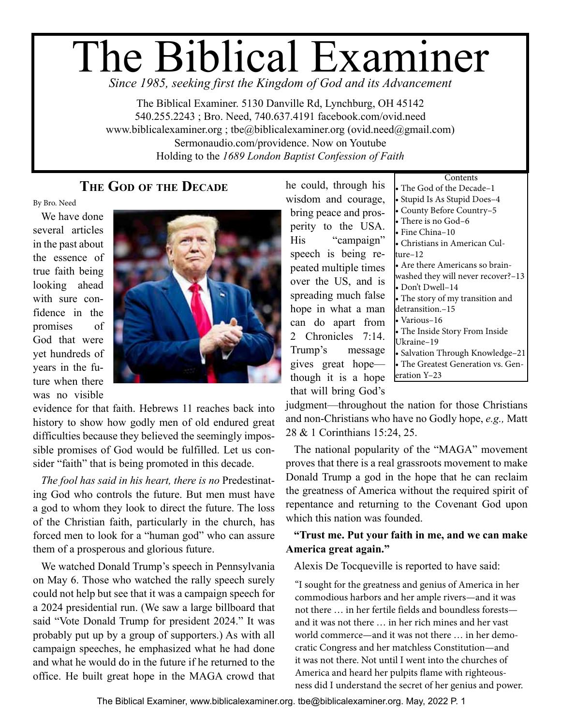# The Biblical Examiner

*Since 1985, seeking first the Kingdom of God and its Advancement*

The Biblical Examiner. 5130 Danville Rd, Lynchburg, OH 45142 540.255.2243 ; Bro. Need, 740.637.4191 facebook.com/ovid.need www.biblicalexaminer.org ; tbe@biblicalexaminer.org (ovid.need@gmail.com) Sermonaudio.com/providence. Now on Youtube Holding to the *1689 London Baptist Confession of Faith*

# **The God of the Decade**

By Bro. Need

We have done several articles in the past about the essence of true faith being looking ahead with sure confidence in the promises of God that were yet hundreds of years in the future when there was no visible



evidence for that faith. Hebrews 11 reaches back into history to show how godly men of old endured great difficulties because they believed the seemingly impossible promises of God would be fulfilled. Let us consider "faith" that is being promoted in this decade.

*The fool has said in his heart, there is no* Predestinating God who controls the future. But men must have a god to whom they look to direct the future. The loss of the Christian faith, particularly in the church, has forced men to look for a "human god" who can assure them of a prosperous and glorious future.

We watched Donald Trump's speech in Pennsylvania on May 6. Those who watched the rally speech surely could not help but see that it was a campaign speech for a 2024 presidential run. (We saw a large billboard that said "Vote Donald Trump for president 2024." It was probably put up by a group of supporters.) As with all campaign speeches, he emphasized what he had done and what he would do in the future if he returned to the office. He built great hope in the MAGA crowd that he could, through his wisdom and courage, bring peace and prosperity to the USA. His "campaign" speech is being repeated multiple times over the US, and is spreading much false hope in what a man can do apart from 2 Chronicles 7:14. Trump's message gives great hope though it is a hope that will bring God's

| Contents                           |
|------------------------------------|
| The God of the Decade–1            |
| Stupid Is As Stupid Does-4         |
| County Before Country-5            |
| $\bullet$ There is no God–6        |
| • Fine China–10                    |
| • Christians in American Cul-      |
| ture–12                            |
| • Are there Americans so brain-    |
| washed they will never recover?-13 |
| • Don't Dwell-14                   |
| • The story of my transition and   |
| detransition.-15                   |
| • Various–16                       |
| • The Inside Story From Inside     |
| Ukraine–19                         |
| · Salvation Through Knowledge-21   |
| The Greatest Generation vs. Gen-   |
| eration Y–23                       |

judgment—throughout the nation for those Christians and non-Christians who have no Godly hope, *e.g.,* Matt 28 & 1 Corinthians 15:24, 25.

The national popularity of the "MAGA" movement proves that there is a real grassroots movement to make Donald Trump a god in the hope that he can reclaim the greatness of America without the required spirit of repentance and returning to the Covenant God upon which this nation was founded.

### **"Trust me. Put your faith in me, and we can make America great again."**

Alexis De Tocqueville is reported to have said:

"I sought for the greatness and genius of America in her commodious harbors and her ample rivers—and it was not there … in her fertile fields and boundless forests and it was not there … in her rich mines and her vast world commerce—and it was not there … in her democratic Congress and her matchless Constitution—and it was not there. Not until I went into the churches of America and heard her pulpits flame with righteousness did I understand the secret of her genius and power.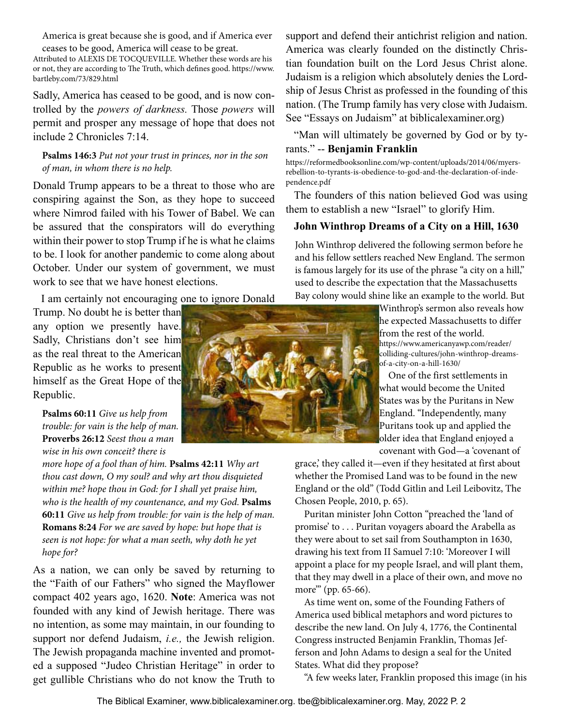America is great because she is good, and if America ever ceases to be good, America will cease to be great.

Attributed to ALEXIS DE TOCQUEVILLE. Whether these words are his or not, they are according to The Truth, which defines good. https://www. bartleby.com/73/829.html

Sadly, America has ceased to be good, and is now controlled by the *powers of darkness.* Those *powers* will permit and prosper any message of hope that does not include 2 Chronicles 7:14.

### **Psalms 146:3** *Put not your trust in princes, nor in the son of man, in whom there is no help.*

Donald Trump appears to be a threat to those who are conspiring against the Son, as they hope to succeed where Nimrod failed with his Tower of Babel. We can be assured that the conspirators will do everything within their power to stop Trump if he is what he claims to be. I look for another pandemic to come along about October. Under our system of government, we must work to see that we have honest elections.

I am certainly not encouraging one to ignore Donald

Trump. No doubt he is better than any option we presently have. Sadly, Christians don't see him as the real threat to the American Republic as he works to present himself as the Great Hope of the Republic.

**Psalms 60:11** *Give us help from trouble: for vain is the help of man.*  **Proverbs 26:12** *Seest thou a man wise in his own conceit? there is* 

*more hope of a fool than of him.* **Psalms 42:11** *Why art thou cast down, O my soul? and why art thou disquieted within me? hope thou in God: for I shall yet praise him, who is the health of my countenance, and my God.* **Psalms 60:11** *Give us help from trouble: for vain is the help of man.*  **Romans 8:24** *For we are saved by hope: but hope that is seen is not hope: for what a man seeth, why doth he yet hope for?*

As a nation, we can only be saved by returning to the "Faith of our Fathers" who signed the Mayflower compact 402 years ago, 1620. **Note**: America was not founded with any kind of Jewish heritage. There was no intention, as some may maintain, in our founding to support nor defend Judaism, *i.e.,* the Jewish religion. The Jewish propaganda machine invented and promoted a supposed "Judeo Christian Heritage" in order to get gullible Christians who do not know the Truth to

ship of Jesus Christ as professed in the founding of this nation. (The Trump family has very close with Judaism. See "Essays on Judaism" at biblicalexaminer.org) "Man will ultimately be governed by God or by tyrants." -- **Benjamin Franklin** https://reformedbooksonline.com/wp-content/uploads/2014/06/myersrebellion-to-tyrants-is-obedience-to-god-and-the-declaration-of-independence.pdf

The founders of this nation believed God was using them to establish a new "Israel" to glorify Him.

support and defend their antichrist religion and nation. America was clearly founded on the distinctly Christian foundation built on the Lord Jesus Christ alone. Judaism is a religion which absolutely denies the Lord-

### **John Winthrop Dreams of a City on a Hill, 1630**

John Winthrop delivered the following sermon before he and his fellow settlers reached New England. The sermon is famous largely for its use of the phrase "a city on a hill," used to describe the expectation that the Massachusetts Bay colony would shine like an example to the world. But

> Winthrop's sermon also reveals how he expected Massachusetts to differ from the rest of the world. https://www.americanyawp.com/reader/ colliding-cultures/john-winthrop-dreamsof-a-city-on-a-hill-1630/

One of the first settlements in what would become the United States was by the Puritans in New England. "Independently, many Puritans took up and applied the older idea that England enjoyed a covenant with God—a 'covenant of

grace,' they called it—even if they hesitated at first about whether the Promised Land was to be found in the new England or the old" (Todd Gitlin and Leil Leibovitz, The Chosen People, 2010, p. 65).

Puritan minister John Cotton "preached the 'land of promise' to . . . Puritan voyagers aboard the Arabella as they were about to set sail from Southampton in 1630, drawing his text from II Samuel 7:10: 'Moreover I will appoint a place for my people Israel, and will plant them, that they may dwell in a place of their own, and move no more"" (pp. 65-66).

As time went on, some of the Founding Fathers of America used biblical metaphors and word pictures to describe the new land. On July 4, 1776, the Continental Congress instructed Benjamin Franklin, Thomas Jefferson and John Adams to design a seal for the United States. What did they propose?

"A few weeks later, Franklin proposed this image (in his

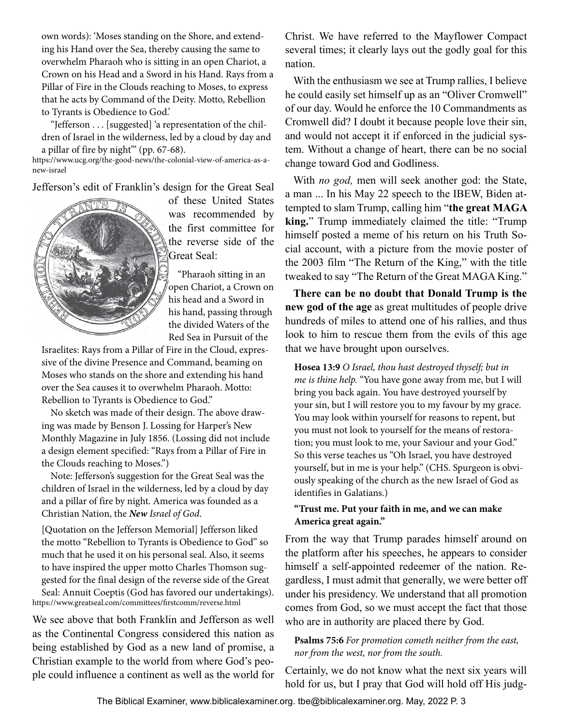own words): 'Moses standing on the Shore, and extending his Hand over the Sea, thereby causing the same to overwhelm Pharaoh who is sitting in an open Chariot, a Crown on his Head and a Sword in his Hand. Rays from a Pillar of Fire in the Clouds reaching to Moses, to express that he acts by Command of the Deity. Motto, Rebellion to Tyrants is Obedience to God.'

"Jefferson . . . [suggested] 'a representation of the children of Israel in the wilderness, led by a cloud by day and a pillar of fire by night'" (pp. 67-68).

https://www.ucg.org/the-good-news/the-colonial-view-of-america-as-anew-israel

Jefferson's edit of Franklin's design for the Great Seal



of these United States was recommended by the first committee for the reverse side of the Great Seal:

 "Pharaoh sitting in an open Chariot, a Crown on his head and a Sword in his hand, passing through the divided Waters of the Red Sea in Pursuit of the

Israelites: Rays from a Pillar of Fire in the Cloud, expressive of the divine Presence and Command, beaming on Moses who stands on the shore and extending his hand over the Sea causes it to overwhelm Pharaoh. Motto: Rebellion to Tyrants is Obedience to God."

No sketch was made of their design. The above drawing was made by Benson J. Lossing for Harper's New Monthly Magazine in July 1856. (Lossing did not include a design element specified: "Rays from a Pillar of Fire in the Clouds reaching to Moses.")

Note: Jefferson's suggestion for the Great Seal was the children of Israel in the wilderness, led by a cloud by day and a pillar of fire by night. America was founded as a Christian Nation, the *New Israel of God*.

[Quotation on the Jefferson Memorial] Jefferson liked the motto "Rebellion to Tyrants is Obedience to God" so much that he used it on his personal seal. Also, it seems to have inspired the upper motto Charles Thomson suggested for the final design of the reverse side of the Great Seal: Annuit Coeptis (God has favored our undertakings). https://www.greatseal.com/committees/firstcomm/reverse.html

We see above that both Franklin and Jefferson as well as the Continental Congress considered this nation as being established by God as a new land of promise, a Christian example to the world from where God's people could influence a continent as well as the world for Christ. We have referred to the Mayflower Compact several times; it clearly lays out the godly goal for this nation.

With the enthusiasm we see at Trump rallies, I believe he could easily set himself up as an "Oliver Cromwell" of our day. Would he enforce the 10 Commandments as Cromwell did? I doubt it because people love their sin, and would not accept it if enforced in the judicial system. Without a change of heart, there can be no social change toward God and Godliness.

With *no god,* men will seek another god: the State, a man ... In his May 22 speech to the IBEW, Biden attempted to slam Trump, calling him "**the great MAGA king.**" Trump immediately claimed the title: "Trump himself posted a meme of his return on his Truth Social account, with a picture from the movie poster of the 2003 film "The Return of the King," with the title tweaked to say "The Return of the Great MAGA King."

**There can be no doubt that Donald Trump is the new god of the age** as great multitudes of people drive hundreds of miles to attend one of his rallies, and thus look to him to rescue them from the evils of this age that we have brought upon ourselves.

**Hosea 13:9** *O Israel, thou hast destroyed thyself; but in me is thine help.* "You have gone away from me, but I will bring you back again. You have destroyed yourself by your sin, but I will restore you to my favour by my grace. You may look within yourself for reasons to repent, but you must not look to yourself for the means of restoration; you must look to me, your Saviour and your God." So this verse teaches us "Oh Israel, you have destroyed yourself, but in me is your help." (CHS. Spurgeon is obviously speaking of the church as the new Israel of God as identifies in Galatians.)

### **"Trust me. Put your faith in me, and we can make America great again."**

From the way that Trump parades himself around on the platform after his speeches, he appears to consider himself a self-appointed redeemer of the nation. Regardless, I must admit that generally, we were better off under his presidency. We understand that all promotion comes from God, so we must accept the fact that those who are in authority are placed there by God.

### **Psalms 75:6** *For promotion cometh neither from the east, nor from the west, nor from the south.*

Certainly, we do not know what the next six years will hold for us, but I pray that God will hold off His judg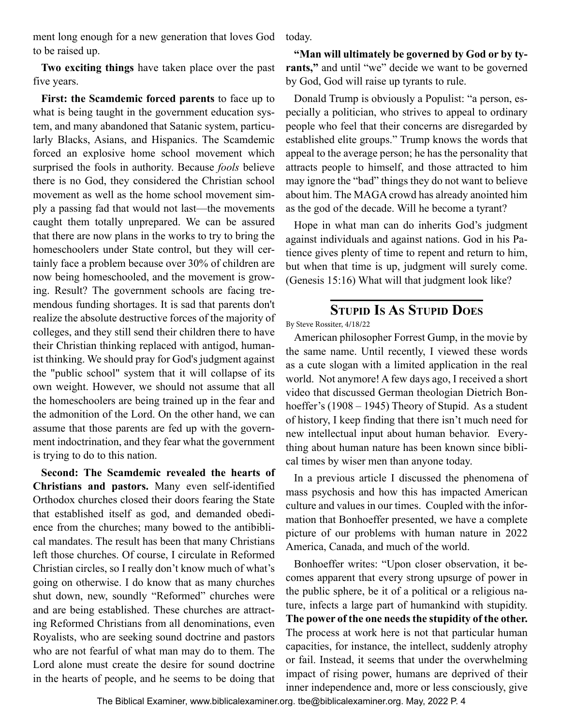<span id="page-3-0"></span>ment long enough for a new generation that loves God to be raised up.

**Two exciting things** have taken place over the past five years.

**First: the Scamdemic forced parents** to face up to what is being taught in the government education system, and many abandoned that Satanic system, particularly Blacks, Asians, and Hispanics. The Scamdemic forced an explosive home school movement which surprised the fools in authority. Because *fools* believe there is no God, they considered the Christian school movement as well as the home school movement simply a passing fad that would not last—the movements caught them totally unprepared. We can be assured that there are now plans in the works to try to bring the homeschoolers under State control, but they will certainly face a problem because over 30% of children are now being homeschooled, and the movement is growing. Result? The government schools are facing tremendous funding shortages. It is sad that parents don't realize the absolute destructive forces of the majority of colleges, and they still send their children there to have their Christian thinking replaced with antigod, humanist thinking. We should pray for God's judgment against the "public school" system that it will collapse of its own weight. However, we should not assume that all the homeschoolers are being trained up in the fear and the admonition of the Lord. On the other hand, we can assume that those parents are fed up with the government indoctrination, and they fear what the government is trying to do to this nation.

**Second: The Scamdemic revealed the hearts of Christians and pastors.** Many even self-identified Orthodox churches closed their doors fearing the State that established itself as god, and demanded obedience from the churches; many bowed to the antibiblical mandates. The result has been that many Christians left those churches. Of course, I circulate in Reformed Christian circles, so I really don't know much of what's going on otherwise. I do know that as many churches shut down, new, soundly "Reformed" churches were and are being established. These churches are attracting Reformed Christians from all denominations, even Royalists, who are seeking sound doctrine and pastors who are not fearful of what man may do to them. The Lord alone must create the desire for sound doctrine in the hearts of people, and he seems to be doing that today.

**"Man will ultimately be governed by God or by tyrants,"** and until "we" decide we want to be governed by God, God will raise up tyrants to rule.

Donald Trump is obviously a Populist: "a person, especially a politician, who strives to appeal to ordinary people who feel that their concerns are disregarded by established elite groups." Trump knows the words that appeal to the average person; he has the personality that attracts people to himself, and those attracted to him may ignore the "bad" things they do not want to believe about him. The MAGA crowd has already anointed him as the god of the decade. Will he become a tyrant?

Hope in what man can do inherits God's judgment against individuals and against nations. God in his Patience gives plenty of time to repent and return to him, but when that time is up, judgment will surely come. (Genesis 15:16) What will that judgment look like?

# **Stupid Is As Stupid Does**

By Steve Rossiter, 4/18/22

American philosopher Forrest Gump, in the movie by the same name. Until recently, I viewed these words as a cute slogan with a limited application in the real world. Not anymore! A few days ago, I received a short video that discussed German theologian Dietrich Bonhoeffer's (1908 – 1945) Theory of Stupid. As a student of history, I keep finding that there isn't much need for new intellectual input about human behavior. Everything about human nature has been known since biblical times by wiser men than anyone today.

In a previous article I discussed the phenomena of mass psychosis and how this has impacted American culture and values in our times. Coupled with the information that Bonhoeffer presented, we have a complete picture of our problems with human nature in 2022 America, Canada, and much of the world.

Bonhoeffer writes: "Upon closer observation, it becomes apparent that every strong upsurge of power in the public sphere, be it of a political or a religious nature, infects a large part of humankind with stupidity. **The power of the one needs the stupidity of the other.** The process at work here is not that particular human capacities, for instance, the intellect, suddenly atrophy or fail. Instead, it seems that under the overwhelming impact of rising power, humans are deprived of their inner independence and, more or less consciously, give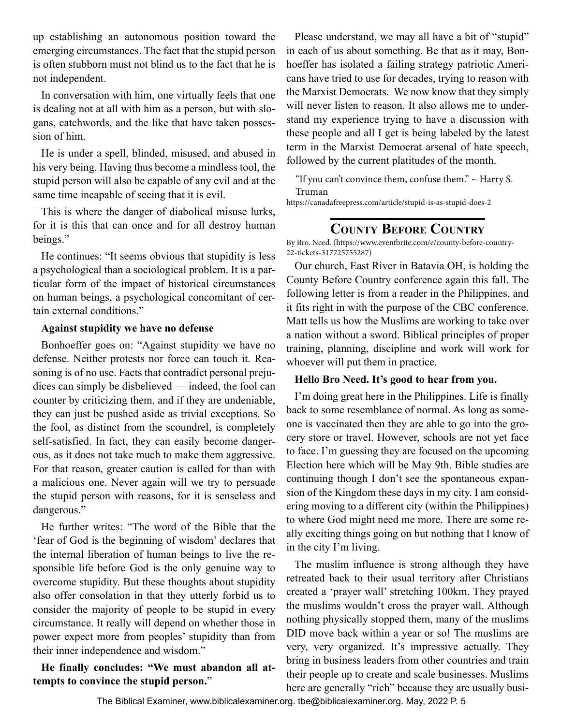<span id="page-4-0"></span>up establishing an autonomous position toward the emerging circumstances. The fact that the stupid person is often stubborn must not blind us to the fact that he is not independent.

In conversation with him, one virtually feels that one is dealing not at all with him as a person, but with slogans, catchwords, and the like that have taken possession of him.

He is under a spell, blinded, misused, and abused in his very being. Having thus become a mindless tool, the stupid person will also be capable of any evil and at the same time incapable of seeing that it is evil.

This is where the danger of diabolical misuse lurks, for it is this that can once and for all destroy human beings."

He continues: "It seems obvious that stupidity is less a psychological than a sociological problem. It is a particular form of the impact of historical circumstances on human beings, a psychological concomitant of certain external conditions."

### **Against stupidity we have no defense**

Bonhoeffer goes on: "Against stupidity we have no defense. Neither protests nor force can touch it. Reasoning is of no use. Facts that contradict personal prejudices can simply be disbelieved — indeed, the fool can counter by criticizing them, and if they are undeniable, they can just be pushed aside as trivial exceptions. So the fool, as distinct from the scoundrel, is completely self-satisfied. In fact, they can easily become dangerous, as it does not take much to make them aggressive. For that reason, greater caution is called for than with a malicious one. Never again will we try to persuade the stupid person with reasons, for it is senseless and dangerous."

He further writes: "The word of the Bible that the 'fear of God is the beginning of wisdom' declares that the internal liberation of human beings to live the responsible life before God is the only genuine way to overcome stupidity. But these thoughts about stupidity also offer consolation in that they utterly forbid us to consider the majority of people to be stupid in every circumstance. It really will depend on whether those in power expect more from peoples' stupidity than from their inner independence and wisdom."

**He finally concludes: "We must abandon all attempts to convince the stupid person.**"

Please understand, we may all have a bit of "stupid" in each of us about something. Be that as it may, Bonhoeffer has isolated a failing strategy patriotic Americans have tried to use for decades, trying to reason with the Marxist Democrats. We now know that they simply will never listen to reason. It also allows me to understand my experience trying to have a discussion with these people and all I get is being labeled by the latest term in the Marxist Democrat arsenal of hate speech, followed by the current platitudes of the month.

"If you can't convince them, confuse them." ~ Harry S. Truman

https://canadafreepress.com/article/stupid-is-as-stupid-does-2

# **County Before Country**

By Bro. Need. (https://www.eventbrite.com/e/county-before-country-22-tickets-317725755287)

Our church, East River in Batavia OH, is holding the County Before Country conference again this fall. The following letter is from a reader in the Philippines, and it fits right in with the purpose of the CBC conference. Matt tells us how the Muslims are working to take over a nation without a sword. Biblical principles of proper training, planning, discipline and work will work for whoever will put them in practice.

### **Hello Bro Need. It's good to hear from you.**

I'm doing great here in the Philippines. Life is finally back to some resemblance of normal. As long as someone is vaccinated then they are able to go into the grocery store or travel. However, schools are not yet face to face. I'm guessing they are focused on the upcoming Election here which will be May 9th. Bible studies are continuing though I don't see the spontaneous expansion of the Kingdom these days in my city. I am considering moving to a different city (within the Philippines) to where God might need me more. There are some really exciting things going on but nothing that I know of in the city I'm living.

The muslim influence is strong although they have retreated back to their usual territory after Christians created a 'prayer wall' stretching 100km. They prayed the muslims wouldn't cross the prayer wall. Although nothing physically stopped them, many of the muslims DID move back within a year or so! The muslims are very, very organized. It's impressive actually. They bring in business leaders from other countries and train their people up to create and scale businesses. Muslims here are generally "rich" because they are usually busi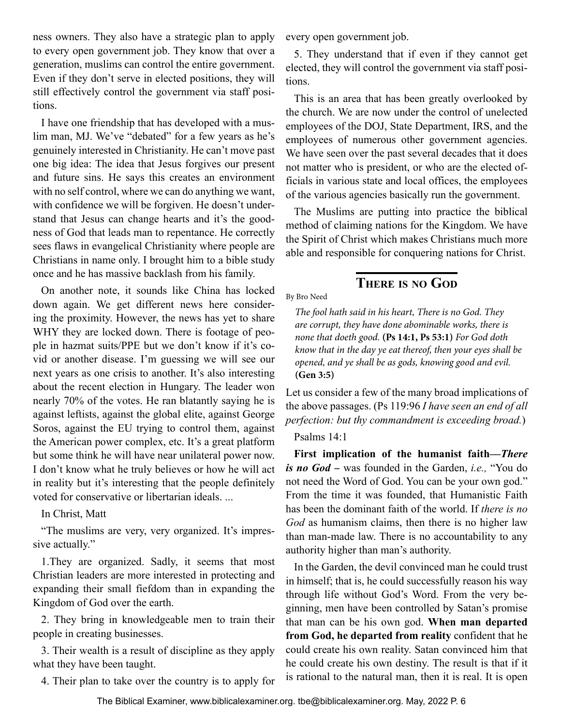<span id="page-5-0"></span>ness owners. They also have a strategic plan to apply to every open government job. They know that over a generation, muslims can control the entire government. Even if they don't serve in elected positions, they will still effectively control the government via staff positions.

I have one friendship that has developed with a muslim man, MJ. We've "debated" for a few years as he's genuinely interested in Christianity. He can't move past one big idea: The idea that Jesus forgives our present and future sins. He says this creates an environment with no self control, where we can do anything we want, with confidence we will be forgiven. He doesn't understand that Jesus can change hearts and it's the goodness of God that leads man to repentance. He correctly sees flaws in evangelical Christianity where people are Christians in name only. I brought him to a bible study once and he has massive backlash from his family.

On another note, it sounds like China has locked down again. We get different news here considering the proximity. However, the news has yet to share WHY they are locked down. There is footage of people in hazmat suits/PPE but we don't know if it's covid or another disease. I'm guessing we will see our next years as one crisis to another. It's also interesting about the recent election in Hungary. The leader won nearly 70% of the votes. He ran blatantly saying he is against leftists, against the global elite, against George Soros, against the EU trying to control them, against the American power complex, etc. It's a great platform but some think he will have near unilateral power now. I don't know what he truly believes or how he will act in reality but it's interesting that the people definitely voted for conservative or libertarian ideals. ...

In Christ, Matt

"The muslims are very, very organized. It's impressive actually."

1.They are organized. Sadly, it seems that most Christian leaders are more interested in protecting and expanding their small fiefdom than in expanding the Kingdom of God over the earth.

2. They bring in knowledgeable men to train their people in creating businesses.

3. Their wealth is a result of discipline as they apply what they have been taught.

4. Their plan to take over the country is to apply for

every open government job.

5. They understand that if even if they cannot get elected, they will control the government via staff positions.

This is an area that has been greatly overlooked by the church. We are now under the control of unelected employees of the DOJ, State Department, IRS, and the employees of numerous other government agencies. We have seen over the past several decades that it does not matter who is president, or who are the elected officials in various state and local offices, the employees of the various agencies basically run the government.

The Muslims are putting into practice the biblical method of claiming nations for the Kingdom. We have the Spirit of Christ which makes Christians much more able and responsible for conquering nations for Christ.

# **There is no God**

By Bro Need

*The fool hath said in his heart, There is no God. They are corrupt, they have done abominable works, there is none that doeth good.* **(Ps 14:1, Ps 53:1)** *For God doth know that in the day ye eat thereof, then your eyes shall be opened, and ye shall be as gods, knowing good and evil.* **(Gen 3:5)**

Let us consider a few of the many broad implications of the above passages. (Ps 119:96 *I have seen an end of all perfection: but thy commandment is exceeding broad.*)

Psalms 14:1

**First implication of the humanist faith—***There is no God* - was founded in the Garden, *i.e.,* "You do not need the Word of God. You can be your own god." From the time it was founded, that Humanistic Faith has been the dominant faith of the world. If *there is no God* as humanism claims, then there is no higher law than man-made law. There is no accountability to any authority higher than man's authority.

In the Garden, the devil convinced man he could trust in himself; that is, he could successfully reason his way through life without God's Word. From the very beginning, men have been controlled by Satan's promise that man can be his own god. **When man departed from God, he departed from reality** confident that he could create his own reality. Satan convinced him that he could create his own destiny. The result is that if it is rational to the natural man, then it is real. It is open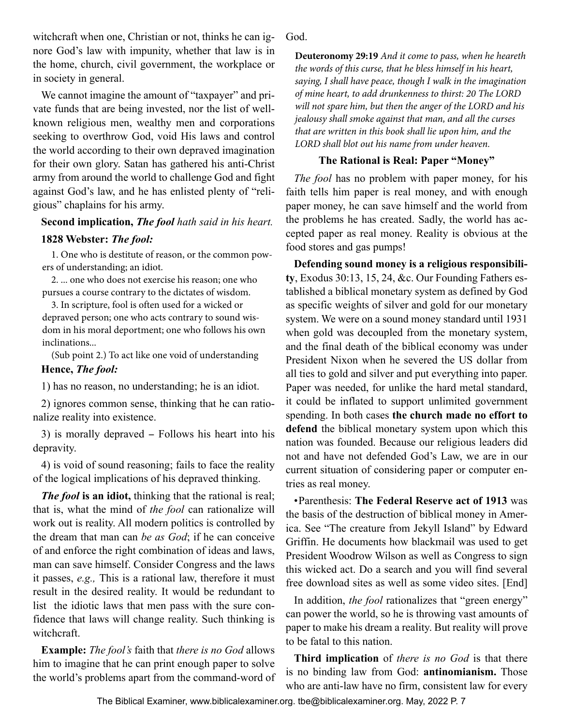witchcraft when one, Christian or not, thinks he can ignore God's law with impunity, whether that law is in the home, church, civil government, the workplace or in society in general.

We cannot imagine the amount of "taxpayer" and private funds that are being invested, nor the list of wellknown religious men, wealthy men and corporations seeking to overthrow God, void His laws and control the world according to their own depraved imagination for their own glory. Satan has gathered his anti-Christ army from around the world to challenge God and fight against God's law, and he has enlisted plenty of "religious" chaplains for his army.

# **Second implication,** *The fool hath said in his heart.*

### **1828 Webster:** *The fool:*

1. One who is destitute of reason, or the common powers of understanding; an idiot.

2. ... one who does not exercise his reason; one who pursues a course contrary to the dictates of wisdom.

3. In scripture, fool is often used for a wicked or depraved person; one who acts contrary to sound wisdom in his moral deportment; one who follows his own inclinations...

(Sub point 2.) To act like one void of understanding **Hence,** *The fool:*

1) has no reason, no understanding; he is an idiot.

2) ignores common sense, thinking that he can rationalize reality into existence.

3) is morally depraved - Follows his heart into his depravity.

4) is void of sound reasoning; fails to face the reality of the logical implications of his depraved thinking.

*The fool* **is an idiot,** thinking that the rational is real; that is, what the mind of *the fool* can rationalize will work out is reality. All modern politics is controlled by the dream that man can *be as God*; if he can conceive of and enforce the right combination of ideas and laws, man can save himself. Consider Congress and the laws it passes, *e.g.,* This is a rational law, therefore it must result in the desired reality. It would be redundant to list the idiotic laws that men pass with the sure confidence that laws will change reality. Such thinking is witchcraft.

**Example:** *The fool's* faith that *there is no God* allows him to imagine that he can print enough paper to solve the world's problems apart from the command-word of God.

**Deuteronomy 29:19** *And it come to pass, when he heareth the words of this curse, that he bless himself in his heart, saying, I shall have peace, though I walk in the imagination of mine heart, to add drunkenness to thirst: 20 The LORD will not spare him, but then the anger of the LORD and his jealousy shall smoke against that man, and all the curses that are written in this book shall lie upon him, and the LORD shall blot out his name from under heaven.*

### **The Rational is Real: Paper "Money"**

*The fool* has no problem with paper money, for his faith tells him paper is real money, and with enough paper money, he can save himself and the world from the problems he has created. Sadly, the world has accepted paper as real money. Reality is obvious at the food stores and gas pumps!

**Defending sound money is a religious responsibility**, Exodus 30:13, 15, 24, &c. Our Founding Fathers established a biblical monetary system as defined by God as specific weights of silver and gold for our monetary system. We were on a sound money standard until 1931 when gold was decoupled from the monetary system, and the final death of the biblical economy was under President Nixon when he severed the US dollar from all ties to gold and silver and put everything into paper. Paper was needed, for unlike the hard metal standard, it could be inflated to support unlimited government spending. In both cases **the church made no effort to defend** the biblical monetary system upon which this nation was founded. Because our religious leaders did not and have not defended God's Law, we are in our current situation of considering paper or computer entries as real money.

• Parenthesis: **The Federal Reserve act of 1913** was the basis of the destruction of biblical money in America. See "The creature from Jekyll Island" by Edward Griffin. He documents how blackmail was used to get President Woodrow Wilson as well as Congress to sign this wicked act. Do a search and you will find several free download sites as well as some video sites. [End]

In addition, *the fool* rationalizes that "green energy" can power the world, so he is throwing vast amounts of paper to make his dream a reality. But reality will prove to be fatal to this nation.

**Third implication** of *there is no God* is that there is no binding law from God: **antinomianism.** Those who are anti-law have no firm, consistent law for every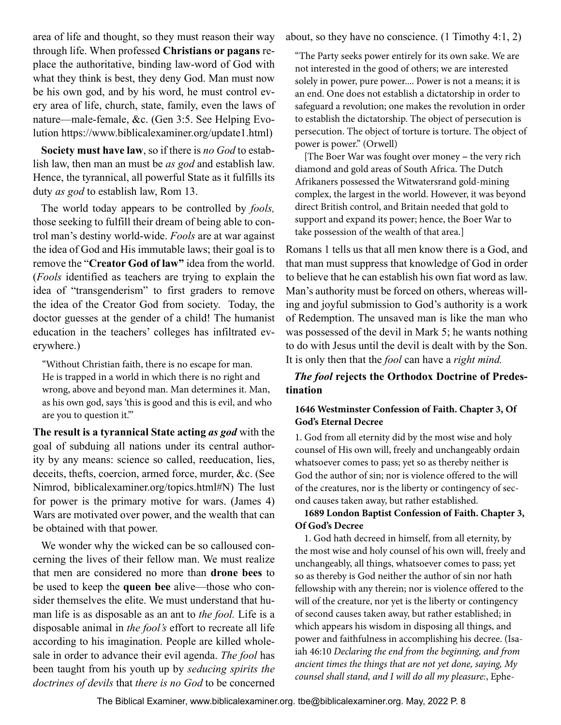area of life and thought, so they must reason their way through life. When professed **Christians or pagans** replace the authoritative, binding law-word of God with what they think is best, they deny God. Man must now be his own god, and by his word, he must control every area of life, church, state, family, even the laws of nature—male-female, &c. (Gen 3:5. See Helping Evolution https://www.biblicalexaminer.org/update1.html)

**Society must have law**, so if there is *no God* to establish law, then man an must be *as god* and establish law. Hence, the tyrannical, all powerful State as it fulfills its duty *as god* to establish law, Rom 13.

The world today appears to be controlled by *fools,*  those seeking to fulfill their dream of being able to control man's destiny world-wide. *Fools* are at war against the idea of God and His immutable laws; their goal is to remove the "**Creator God of law"** idea from the world. (*Fools* identified as teachers are trying to explain the idea of "transgenderism" to first graders to remove the idea of the Creator God from society. Today, the doctor guesses at the gender of a child! The humanist education in the teachers' colleges has infiltrated everywhere.)

"Without Christian faith, there is no escape for man. He is trapped in a world in which there is no right and wrong, above and beyond man. Man determines it. Man, as his own god, says 'this is good and this is evil, and who are you to question it.'"

**The result is a tyrannical State acting** *as god* with the goal of subduing all nations under its central authority by any means: science so called, reeducation, lies, deceits, thefts, coercion, armed force, murder, &c. (See Nimrod, biblicalexaminer.org/topics.html#N) The lust for power is the primary motive for wars. (James 4) Wars are motivated over power, and the wealth that can be obtained with that power.

We wonder why the wicked can be so calloused concerning the lives of their fellow man. We must realize that men are considered no more than **drone bees** to be used to keep the **queen bee** alive—those who consider themselves the elite. We must understand that human life is as disposable as an ant to *the fool.* Life is a disposable animal in *the fool's* effort to recreate all life according to his imagination. People are killed wholesale in order to advance their evil agenda. *The fool* has been taught from his youth up by *seducing spirits the doctrines of devils* that *there is no God* to be concerned about, so they have no conscience. (1 Timothy 4:1, 2)

"The Party seeks power entirely for its own sake. We are not interested in the good of others; we are interested solely in power, pure power.... Power is not a means; it is an end. One does not establish a dictatorship in order to safeguard a revolution; one makes the revolution in order to establish the dictatorship. The object of persecution is persecution. The object of torture is torture. The object of power is power." (Orwell)

[The Boer War was fought over money – the very rich] diamond and gold areas of South Africa. The Dutch Afrikaners possessed the Witwatersrand gold-mining complex, the largest in the world. However, it was beyond direct British control, and Britain needed that gold to support and expand its power; hence, the Boer War to take possession of the wealth of that area.]

Romans 1 tells us that all men know there is a God, and that man must suppress that knowledge of God in order to believe that he can establish his own fiat word as law. Man's authority must be forced on others, whereas willing and joyful submission to God's authority is a work of Redemption. The unsaved man is like the man who was possessed of the devil in Mark 5; he wants nothing to do with Jesus until the devil is dealt with by the Son. It is only then that the *fool* can have a *right mind.*

*The fool* **rejects the Orthodox Doctrine of Predestination**

### **1646 Westminster Confession of Faith. Chapter 3, Of God's Eternal Decree**

1. God from all eternity did by the most wise and holy counsel of His own will, freely and unchangeably ordain whatsoever comes to pass; yet so as thereby neither is God the author of sin; nor is violence offered to the will of the creatures, nor is the liberty or contingency of second causes taken away, but rather established.

### **1689 London Baptist Confession of Faith. Chapter 3, Of God's Decree**

1. God hath decreed in himself, from all eternity, by the most wise and holy counsel of his own will, freely and unchangeably, all things, whatsoever comes to pass; yet so as thereby is God neither the author of sin nor hath fellowship with any therein; nor is violence offered to the will of the creature, nor yet is the liberty or contingency of second causes taken away, but rather established; in which appears his wisdom in disposing all things, and power and faithfulness in accomplishing his decree. (Isaiah 46:10 *Declaring the end from the beginning, and from ancient times the things that are not yet done, saying, My counsel shall stand, and I will do all my pleasure:*, Ephe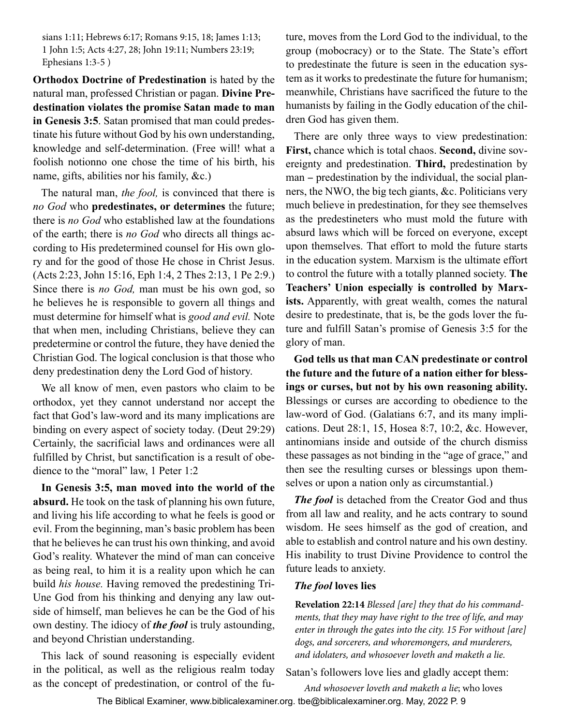sians 1:11; Hebrews 6:17; Romans 9:15, 18; James 1:13; 1 John 1:5; Acts 4:27, 28; John 19:11; Numbers 23:19; Ephesians 1:3-5 )

**Orthodox Doctrine of Predestination** is hated by the natural man, professed Christian or pagan. **Divine Predestination violates the promise Satan made to man in Genesis 3:5**. Satan promised that man could predestinate his future without God by his own understanding, knowledge and self-determination. (Free will! what a foolish notionno one chose the time of his birth, his name, gifts, abilities nor his family, &c.)

The natural man, *the fool,* is convinced that there is *no God* who **predestinates, or determines** the future; there is *no God* who established law at the foundations of the earth; there is *no God* who directs all things according to His predetermined counsel for His own glory and for the good of those He chose in Christ Jesus. (Acts 2:23, John 15:16, Eph 1:4, 2 Thes 2:13, 1 Pe 2:9.) Since there is *no God,* man must be his own god, so he believes he is responsible to govern all things and must determine for himself what is *good and evil.* Note that when men, including Christians, believe they can predetermine or control the future, they have denied the Christian God. The logical conclusion is that those who deny predestination deny the Lord God of history.

We all know of men, even pastors who claim to be orthodox, yet they cannot understand nor accept the fact that God's law-word and its many implications are binding on every aspect of society today. (Deut 29:29) Certainly, the sacrificial laws and ordinances were all fulfilled by Christ, but sanctification is a result of obedience to the "moral" law, 1 Peter 1:2

**In Genesis 3:5, man moved into the world of the absurd.** He took on the task of planning his own future, and living his life according to what he feels is good or evil. From the beginning, man's basic problem has been that he believes he can trust his own thinking, and avoid God's reality. Whatever the mind of man can conceive as being real, to him it is a reality upon which he can build *his house.* Having removed the predestining Tri-Une God from his thinking and denying any law outside of himself, man believes he can be the God of his own destiny. The idiocy of *the fool* is truly astounding, and beyond Christian understanding.

This lack of sound reasoning is especially evident in the political, as well as the religious realm today as the concept of predestination, or control of the future, moves from the Lord God to the individual, to the group (mobocracy) or to the State. The State's effort to predestinate the future is seen in the education system as it works to predestinate the future for humanism; meanwhile, Christians have sacrificed the future to the humanists by failing in the Godly education of the children God has given them.

There are only three ways to view predestination: **First,** chance which is total chaos. **Second,** divine sovereignty and predestination. **Third,** predestination by man - predestination by the individual, the social planners, the NWO, the big tech giants, &c. Politicians very much believe in predestination, for they see themselves as the predestineters who must mold the future with absurd laws which will be forced on everyone, except upon themselves. That effort to mold the future starts in the education system. Marxism is the ultimate effort to control the future with a totally planned society. **The Teachers' Union especially is controlled by Marxists.** Apparently, with great wealth, comes the natural desire to predestinate, that is, be the gods lover the future and fulfill Satan's promise of Genesis 3:5 for the glory of man.

**God tells us that man CAN predestinate or control the future and the future of a nation either for blessings or curses, but not by his own reasoning ability.** Blessings or curses are according to obedience to the law-word of God. (Galatians 6:7, and its many implications. Deut 28:1, 15, Hosea 8:7, 10:2, &c. However, antinomians inside and outside of the church dismiss these passages as not binding in the "age of grace," and then see the resulting curses or blessings upon themselves or upon a nation only as circumstantial.)

*The fool* is detached from the Creator God and thus from all law and reality, and he acts contrary to sound wisdom. He sees himself as the god of creation, and able to establish and control nature and his own destiny. His inability to trust Divine Providence to control the future leads to anxiety.

### *The fool* **loves lies**

**Revelation 22:14** *Blessed [are] they that do his commandments, that they may have right to the tree of life, and may enter in through the gates into the city. 15 For without [are] dogs, and sorcerers, and whoremongers, and murderers, and idolaters, and whosoever loveth and maketh a lie.*

Satan's followers love lies and gladly accept them:

*And whosoever loveth and maketh a lie*; who loves

The Biblical Examiner, www.biblicalexaminer.org. tbe@biblicalexaminer.org. May, 2022 P. 9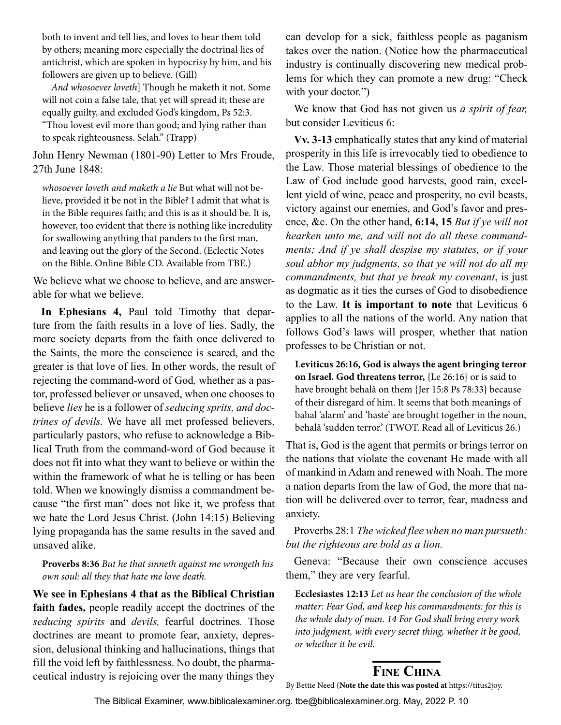<span id="page-9-0"></span>both to invent and tell lies, and loves to hear them told by others; meaning more especially the doctrinal lies of antichrist, which are spoken in hypocrisy by him, and his followers are given up to believe. (Gill)

*And whosoever loveth*] Though he maketh it not. Some will not coin a false tale, that yet will spread it; these are equally guilty, and excluded God's kingdom, Ps 52:3.

"Thou lovest evil more than good; and lying rather than to speak righteousness. Selah." (Trapp)

John Henry Newman (1801-90) Letter to Mrs Froude, 27th June 1848:

*whosoever loveth and maketh a lie* But what will not believe, provided it be not in the Bible? I admit that what is in the Bible requires faith; and this is as it should be. It is, however, too evident that there is nothing like incredulity for swallowing anything that panders to the first man, and leaving out the glory of the Second. (Eclectic Notes on the Bible. Online Bible CD. Available from TBE.)

We believe what we choose to believe, and are answerable for what we believe.

**In Ephesians 4,** Paul told Timothy that departure from the faith results in a love of lies. Sadly, the more society departs from the faith once delivered to the Saints, the more the conscience is seared, and the greater is that love of lies. In other words, the result of rejecting the command-word of God*,* whether as a pastor, professed believer or unsaved, when one chooses to believe *lies* he is a follower of *seducing sprits, and doctrines of devils.* We have all met professed believers, particularly pastors, who refuse to acknowledge a Biblical Truth from the command-word of God because it does not fit into what they want to believe or within the within the framework of what he is telling or has been told. When we knowingly dismiss a commandment because "the first man" does not like it, we profess that we hate the Lord Jesus Christ. (John 14:15) Believing lying propaganda has the same results in the saved and unsaved alike.

### **Proverbs 8:36** *But he that sinneth against me wrongeth his own soul: all they that hate me love death.*

**We see in Ephesians 4 that as the Biblical Christian faith fades,** people readily accept the doctrines of the *seducing spirits* and *devils,* fearful doctrines*.* Those doctrines are meant to promote fear, anxiety, depression, delusional thinking and hallucinations, things that fill the void left by faithlessness. No doubt, the pharmaceutical industry is rejoicing over the many things they

can develop for a sick, faithless people as paganism takes over the nation. (Notice how the pharmaceutical industry is continually discovering new medical problems for which they can promote a new drug: "Check with your doctor.")

We know that God has not given us *a spirit of fear,* but consider Leviticus 6:

**Vv. 3-13** emphatically states that any kind of material prosperity in this life is irrevocably tied to obedience to the Law. Those material blessings of obedience to the Law of God include good harvests, good rain, excellent yield of wine, peace and prosperity, no evil beasts, victory against our enemies, and God's favor and presence, &c. On the other hand, **6:14, 15** *But if ye will not hearken unto me, and will not do all these commandments; And if ye shall despise my statutes, or if your soul abhor my judgments, so that ye will not do all my commandments, but that ye break my covenant*, is just as dogmatic as it ties the curses of God to disobedience to the Law. **It is important to note** that Leviticus 6 applies to all the nations of the world. Any nation that follows God's laws will prosper, whether that nation professes to be Christian or not.

**Leviticus 26:16, God is always the agent bringing terror on Israel. God threatens terror,** {Le 26:16} or is said to have brought behalâ on them {Jer 15:8 Ps 78:33} because of their disregard of him. It seems that both meanings of bahal 'alarm' and 'haste' are brought together in the noun, behalâ 'sudden terror.' (TWOT. Read all of Leviticus 26.)

That is, God is the agent that permits or brings terror on the nations that violate the covenant He made with all of mankind in Adam and renewed with Noah. The more a nation departs from the law of God, the more that nation will be delivered over to terror, fear, madness and anxiety.

Proverbs 28:1 *The wicked flee when no man pursueth: but the righteous are bold as a lion.*

Geneva: "Because their own conscience accuses them," they are very fearful.

**Ecclesiastes 12:13** *Let us hear the conclusion of the whole matter: Fear God, and keep his commandments: for this is the whole duty of man. 14 For God shall bring every work into judgment, with every secret thing, whether it be good, or whether it be evil.*

# **Fine China**

By Bettie Need (**Note the date this was posted at** https://titus2joy.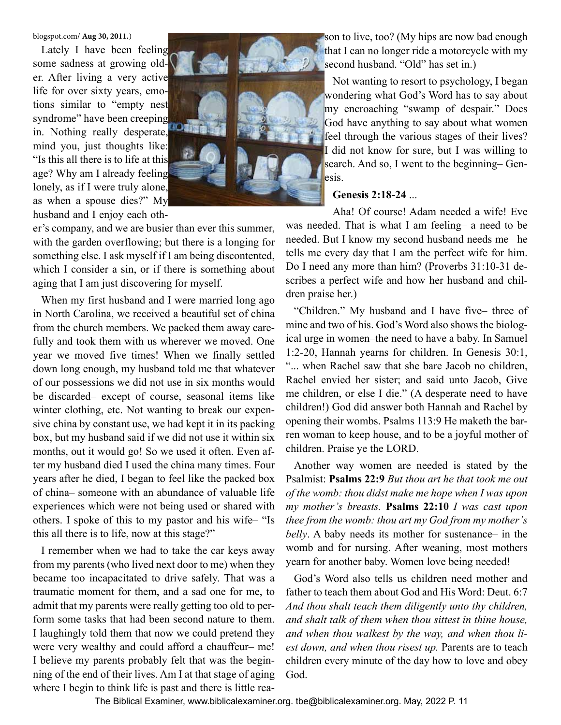blogspot.com/ **Aug 30, 2011.**)

Lately I have been feeling some sadness at growing older. After living a very active life for over sixty years, emotions similar to "empty nest syndrome" have been creeping in. Nothing really desperate, mind you, just thoughts like: "Is this all there is to life at this age? Why am I already feeling lonely, as if I were truly alone, as when a spouse dies?" My husband and I enjoy each oth-



er's company, and we are busier than ever this summer, with the garden overflowing; but there is a longing for something else. I ask myself if I am being discontented, which I consider a sin, or if there is something about aging that I am just discovering for myself.

When my first husband and I were married long ago in North Carolina, we received a beautiful set of china from the church members. We packed them away carefully and took them with us wherever we moved. One year we moved five times! When we finally settled down long enough, my husband told me that whatever of our possessions we did not use in six months would be discarded– except of course, seasonal items like winter clothing, etc. Not wanting to break our expensive china by constant use, we had kept it in its packing box, but my husband said if we did not use it within six months, out it would go! So we used it often. Even after my husband died I used the china many times. Four years after he died, I began to feel like the packed box of china– someone with an abundance of valuable life experiences which were not being used or shared with others. I spoke of this to my pastor and his wife– "Is this all there is to life, now at this stage?"

I remember when we had to take the car keys away from my parents (who lived next door to me) when they became too incapacitated to drive safely. That was a traumatic moment for them, and a sad one for me, to admit that my parents were really getting too old to perform some tasks that had been second nature to them. I laughingly told them that now we could pretend they were very wealthy and could afford a chauffeur– me! I believe my parents probably felt that was the beginning of the end of their lives. Am I at that stage of aging where I begin to think life is past and there is little reason to live, too? (My hips are now bad enough that I can no longer ride a motorcycle with my second husband. "Old" has set in.)

Not wanting to resort to psychology, I began wondering what God's Word has to say about my encroaching "swamp of despair." Does God have anything to say about what women feel through the various stages of their lives? I did not know for sure, but I was willing to search. And so, I went to the beginning– Genesis.

### **Genesis 2:18-24** ...

Aha! Of course! Adam needed a wife! Eve was needed. That is what I am feeling– a need to be needed. But I know my second husband needs me– he tells me every day that I am the perfect wife for him. Do I need any more than him? (Proverbs 31:10-31 describes a perfect wife and how her husband and children praise her.)

"Children." My husband and I have five– three of mine and two of his. God's Word also shows the biological urge in women–the need to have a baby. In Samuel 1:2-20, Hannah yearns for children. In Genesis 30:1, "... when Rachel saw that she bare Jacob no children, Rachel envied her sister; and said unto Jacob, Give me children, or else I die." (A desperate need to have children!) God did answer both Hannah and Rachel by opening their wombs. Psalms 113:9 He maketh the barren woman to keep house, and to be a joyful mother of children. Praise ye the LORD.

Another way women are needed is stated by the Psalmist: **Psalms 22:9** *But thou art he that took me out of the womb: thou didst make me hope when I was upon my mother's breasts.* **Psalms 22:10** *I was cast upon thee from the womb: thou art my God from my mother's belly*. A baby needs its mother for sustenance– in the womb and for nursing. After weaning, most mothers yearn for another baby. Women love being needed!

God's Word also tells us children need mother and father to teach them about God and His Word: Deut. 6:7 *And thou shalt teach them diligently unto thy children, and shalt talk of them when thou sittest in thine house, and when thou walkest by the way, and when thou liest down, and when thou risest up.* Parents are to teach children every minute of the day how to love and obey God.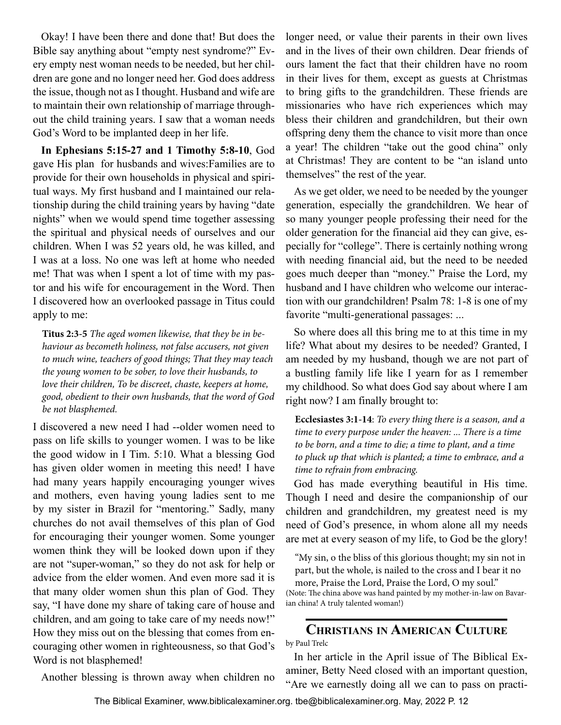<span id="page-11-0"></span>Okay! I have been there and done that! But does the Bible say anything about "empty nest syndrome?" Every empty nest woman needs to be needed, but her children are gone and no longer need her. God does address the issue, though not as I thought. Husband and wife are to maintain their own relationship of marriage throughout the child training years. I saw that a woman needs God's Word to be implanted deep in her life.

**In Ephesians 5:15-27 and 1 Timothy 5:8-10**, God gave His plan for husbands and wives:Families are to provide for their own households in physical and spiritual ways. My first husband and I maintained our relationship during the child training years by having "date nights" when we would spend time together assessing the spiritual and physical needs of ourselves and our children. When I was 52 years old, he was killed, and I was at a loss. No one was left at home who needed me! That was when I spent a lot of time with my pastor and his wife for encouragement in the Word. Then I discovered how an overlooked passage in Titus could apply to me:

**Titus 2:3-5** *The aged women likewise, that they be in behaviour as becometh holiness, not false accusers, not given to much wine, teachers of good things; That they may teach the young women to be sober, to love their husbands, to love their children, To be discreet, chaste, keepers at home, good, obedient to their own husbands, that the word of God be not blasphemed.*

I discovered a new need I had --older women need to pass on life skills to younger women. I was to be like the good widow in I Tim. 5:10. What a blessing God has given older women in meeting this need! I have had many years happily encouraging younger wives and mothers, even having young ladies sent to me by my sister in Brazil for "mentoring." Sadly, many churches do not avail themselves of this plan of God for encouraging their younger women. Some younger women think they will be looked down upon if they are not "super-woman," so they do not ask for help or advice from the elder women. And even more sad it is that many older women shun this plan of God. They say, "I have done my share of taking care of house and children, and am going to take care of my needs now!" How they miss out on the blessing that comes from encouraging other women in righteousness, so that God's Word is not blasphemed!

Another blessing is thrown away when children no

longer need, or value their parents in their own lives and in the lives of their own children. Dear friends of ours lament the fact that their children have no room in their lives for them, except as guests at Christmas to bring gifts to the grandchildren. These friends are missionaries who have rich experiences which may bless their children and grandchildren, but their own offspring deny them the chance to visit more than once a year! The children "take out the good china" only at Christmas! They are content to be "an island unto themselves" the rest of the year.

As we get older, we need to be needed by the younger generation, especially the grandchildren. We hear of so many younger people professing their need for the older generation for the financial aid they can give, especially for "college". There is certainly nothing wrong with needing financial aid, but the need to be needed goes much deeper than "money." Praise the Lord, my husband and I have children who welcome our interaction with our grandchildren! Psalm 78: 1-8 is one of my favorite "multi-generational passages: ...

So where does all this bring me to at this time in my life? What about my desires to be needed? Granted, I am needed by my husband, though we are not part of a bustling family life like I yearn for as I remember my childhood. So what does God say about where I am right now? I am finally brought to:

**Ecclesiastes 3:1-14**: *To every thing there is a season, and a time to every purpose under the heaven: ... There is a time to be born, and a time to die; a time to plant, and a time to pluck up that which is planted; a time to embrace, and a time to refrain from embracing.*

God has made everything beautiful in His time. Though I need and desire the companionship of our children and grandchildren, my greatest need is my need of God's presence, in whom alone all my needs are met at every season of my life, to God be the glory!

"My sin, o the bliss of this glorious thought; my sin not in part, but the whole, is nailed to the cross and I bear it no

more, Praise the Lord, Praise the Lord, O my soul."

(Note: The china above was hand painted by my mother-in-law on Bavarian china! A truly talented woman!)

# **Christians in American Culture**

by Paul Trelc

In her article in the April issue of The Biblical Examiner, Betty Need closed with an important question, "Are we earnestly doing all we can to pass on practi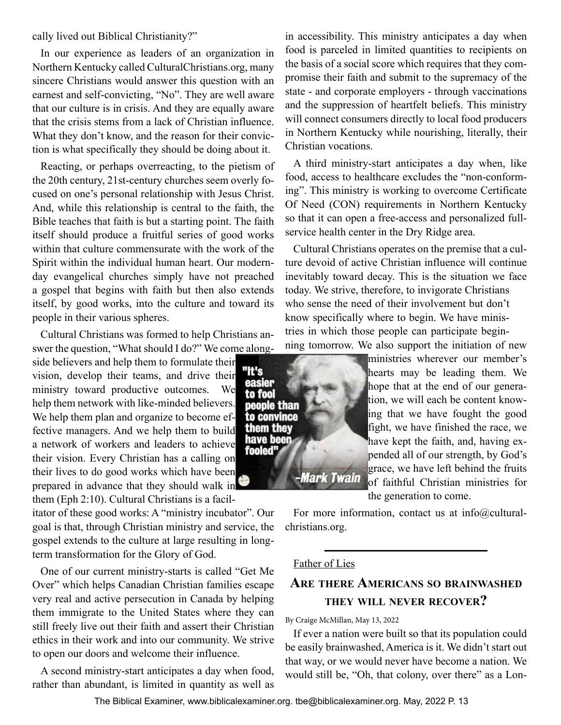<span id="page-12-0"></span>cally lived out Biblical Christianity?"

In our experience as leaders of an organization in Northern Kentucky called CulturalChristians.org, many sincere Christians would answer this question with an earnest and self-convicting, "No". They are well aware that our culture is in crisis. And they are equally aware that the crisis stems from a lack of Christian influence. What they don't know, and the reason for their conviction is what specifically they should be doing about it.

Reacting, or perhaps overreacting, to the pietism of the 20th century, 21st-century churches seem overly focused on one's personal relationship with Jesus Christ. And, while this relationship is central to the faith, the Bible teaches that faith is but a starting point. The faith itself should produce a fruitful series of good works within that culture commensurate with the work of the Spirit within the individual human heart. Our modernday evangelical churches simply have not preached a gospel that begins with faith but then also extends itself, by good works, into the culture and toward its people in their various spheres.

Cultural Christians was formed to help Christians answer the question, "What should I do?" We come along-

side believers and help them to formulate their vision, develop their teams, and drive their ministry toward productive outcomes. We help them network with like-minded believers. We help them plan and organize to become effective managers. And we help them to build a network of workers and leaders to achieve their vision. Every Christian has a calling on their lives to do good works which have been prepared in advance that they should walk in them (Eph 2:10). Cultural Christians is a facil-

itator of these good works: A "ministry incubator". Our goal is that, through Christian ministry and service, the gospel extends to the culture at large resulting in longterm transformation for the Glory of God.

One of our current ministry-starts is called "Get Me Over" which helps Canadian Christian families escape very real and active persecution in Canada by helping them immigrate to the United States where they can still freely live out their faith and assert their Christian ethics in their work and into our community. We strive to open our doors and welcome their influence.

A second ministry-start anticipates a day when food, rather than abundant, is limited in quantity as well as

in accessibility. This ministry anticipates a day when food is parceled in limited quantities to recipients on the basis of a social score which requires that they compromise their faith and submit to the supremacy of the state - and corporate employers - through vaccinations and the suppression of heartfelt beliefs. This ministry will connect consumers directly to local food producers in Northern Kentucky while nourishing, literally, their Christian vocations.

A third ministry-start anticipates a day when, like food, access to healthcare excludes the "non-conforming". This ministry is working to overcome Certificate Of Need (CON) requirements in Northern Kentucky so that it can open a free-access and personalized fullservice health center in the Dry Ridge area.

Cultural Christians operates on the premise that a culture devoid of active Christian influence will continue inevitably toward decay. This is the situation we face today. We strive, therefore, to invigorate Christians who sense the need of their involvement but don't know specifically where to begin. We have ministries in which those people can participate beginning tomorrow. We also support the initiation of new



ministries wherever our member's hearts may be leading them. We hope that at the end of our generation, we will each be content knowing that we have fought the good fight, we have finished the race, we have kept the faith, and, having expended all of our strength, by God's grace, we have left behind the fruits of faithful Christian ministries for

the generation to come.

For more information, contact us at info@culturalchristians.org.

### Father of Lies

# **Are there Americans so brainwashed they will never recover?**

### By Craige McMillan, May 13, 2022

If ever a nation were built so that its population could be easily brainwashed, America is it. We didn't start out that way, or we would never have become a nation. We would still be, "Oh, that colony, over there" as a Lon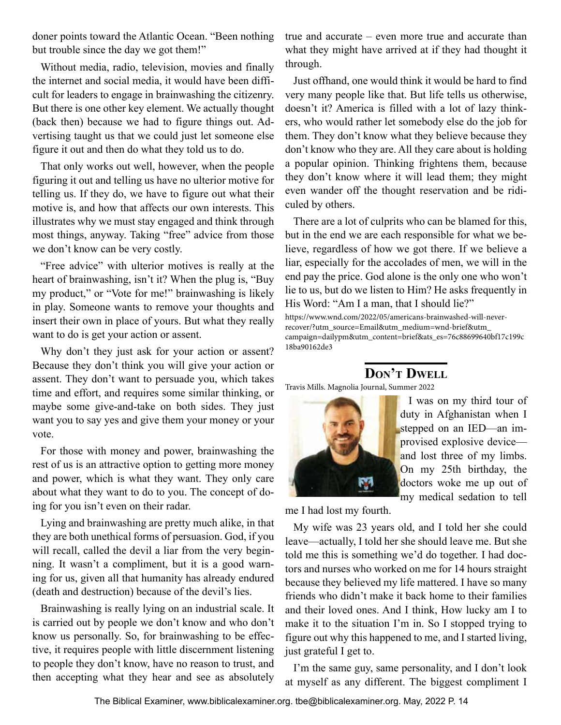<span id="page-13-0"></span>doner points toward the Atlantic Ocean. "Been nothing but trouble since the day we got them!"

Without media, radio, television, movies and finally the internet and social media, it would have been difficult for leaders to engage in brainwashing the citizenry. But there is one other key element. We actually thought (back then) because we had to figure things out. Advertising taught us that we could just let someone else figure it out and then do what they told us to do.

That only works out well, however, when the people figuring it out and telling us have no ulterior motive for telling us. If they do, we have to figure out what their motive is, and how that affects our own interests. This illustrates why we must stay engaged and think through most things, anyway. Taking "free" advice from those we don't know can be very costly.

"Free advice" with ulterior motives is really at the heart of brainwashing, isn't it? When the plug is, "Buy my product," or "Vote for me!" brainwashing is likely in play. Someone wants to remove your thoughts and insert their own in place of yours. But what they really want to do is get your action or assent.

Why don't they just ask for your action or assent? Because they don't think you will give your action or assent. They don't want to persuade you, which takes time and effort, and requires some similar thinking, or maybe some give-and-take on both sides. They just want you to say yes and give them your money or your vote.

For those with money and power, brainwashing the rest of us is an attractive option to getting more money and power, which is what they want. They only care about what they want to do to you. The concept of doing for you isn't even on their radar.

Lying and brainwashing are pretty much alike, in that they are both unethical forms of persuasion. God, if you will recall, called the devil a liar from the very beginning. It wasn't a compliment, but it is a good warning for us, given all that humanity has already endured (death and destruction) because of the devil's lies.

Brainwashing is really lying on an industrial scale. It is carried out by people we don't know and who don't know us personally. So, for brainwashing to be effective, it requires people with little discernment listening to people they don't know, have no reason to trust, and then accepting what they hear and see as absolutely true and accurate – even more true and accurate than what they might have arrived at if they had thought it through.

Just offhand, one would think it would be hard to find very many people like that. But life tells us otherwise, doesn't it? America is filled with a lot of lazy thinkers, who would rather let somebody else do the job for them. They don't know what they believe because they don't know who they are. All they care about is holding a popular opinion. Thinking frightens them, because they don't know where it will lead them; they might even wander off the thought reservation and be ridiculed by others.

There are a lot of culprits who can be blamed for this, but in the end we are each responsible for what we believe, regardless of how we got there. If we believe a liar, especially for the accolades of men, we will in the end pay the price. God alone is the only one who won't lie to us, but do we listen to Him? He asks frequently in His Word: "Am I a man, that I should lie?"

https://www.wnd.com/2022/05/americans-brainwashed-will-neverrecover/?utm\_source=Email&utm\_medium=wnd-brief&utm\_ campaign=dailypm&utm\_content=brief&ats\_es=76c88699640bf17c199c 18ba90162de3

# **Don't Dwell**

Travis Mills. Magnolia Journal, Summer 2022



I was on my third tour of duty in Afghanistan when I stepped on an IED—an improvised explosive device and lost three of my limbs. On my 25th birthday, the doctors woke me up out of my medical sedation to tell

me I had lost my fourth.

My wife was 23 years old, and I told her she could leave—actually, I told her she should leave me. But she told me this is something we'd do together. I had doctors and nurses who worked on me for 14 hours straight because they believed my life mattered. I have so many friends who didn't make it back home to their families and their loved ones. And I think, How lucky am I to make it to the situation I'm in. So I stopped trying to figure out why this happened to me, and I started living, just grateful I get to.

I'm the same guy, same personality, and I don't look at myself as any different. The biggest compliment I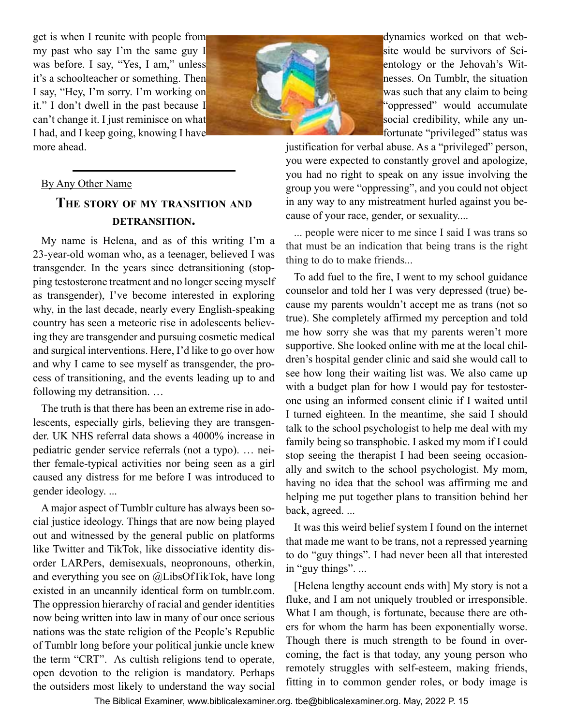<span id="page-14-0"></span>get is when I reunite with people from my past who say I'm the same guy I was before. I say, "Yes, I am," unless it's a schoolteacher or something. Then I say, "Hey, I'm sorry. I'm working on it." I don't dwell in the past because I can't change it. I just reminisce on what I had, and I keep going, knowing I have more ahead.



dynamics worked on that website would be survivors of Scientology or the Jehovah's Witnesses. On Tumblr, the situation was such that any claim to being "oppressed" would accumulate social credibility, while any unfortunate "privileged" status was

justification for verbal abuse. As a "privileged" person, you were expected to constantly grovel and apologize, you had no right to speak on any issue involving the group you were "oppressing", and you could not object in any way to any mistreatment hurled against you because of your race, gender, or sexuality....

... people were nicer to me since I said I was trans so that must be an indication that being trans is the right thing to do to make friends...

To add fuel to the fire, I went to my school guidance counselor and told her I was very depressed (true) because my parents wouldn't accept me as trans (not so true). She completely affirmed my perception and told me how sorry she was that my parents weren't more supportive. She looked online with me at the local children's hospital gender clinic and said she would call to see how long their waiting list was. We also came up with a budget plan for how I would pay for testosterone using an informed consent clinic if I waited until I turned eighteen. In the meantime, she said I should talk to the school psychologist to help me deal with my family being so transphobic. I asked my mom if I could stop seeing the therapist I had been seeing occasionally and switch to the school psychologist. My mom, having no idea that the school was affirming me and helping me put together plans to transition behind her back, agreed. ...

It was this weird belief system I found on the internet that made me want to be trans, not a repressed yearning to do "guy things". I had never been all that interested in "guy things". ...

[Helena lengthy account ends with] My story is not a fluke, and I am not uniquely troubled or irresponsible. What I am though, is fortunate, because there are others for whom the harm has been exponentially worse. Though there is much strength to be found in overcoming, the fact is that today, any young person who remotely struggles with self-esteem, making friends, fitting in to common gender roles, or body image is

### By Any Other Name

### **The story of my transition and detransition.**

My name is Helena, and as of this writing I'm a 23-year-old woman who, as a teenager, believed I was transgender. In the years since detransitioning (stopping testosterone treatment and no longer seeing myself as transgender), I've become interested in exploring why, in the last decade, nearly every English-speaking country has seen a meteoric rise in adolescents believing they are transgender and pursuing cosmetic medical and surgical interventions. Here, I'd like to go over how and why I came to see myself as transgender, the process of transitioning, and the events leading up to and following my detransition. …

The truth is that there has been an extreme rise in adolescents, especially girls, believing they are transgender. UK NHS referral data shows a 4000% increase in pediatric gender service referrals (not a typo). … neither female-typical activities nor being seen as a girl caused any distress for me before I was introduced to gender ideology. ...

A major aspect of Tumblr culture has always been social justice ideology. Things that are now being played out and witnessed by the general public on platforms like Twitter and TikTok, like dissociative identity disorder LARPers, demisexuals, neopronouns, otherkin, and everything you see on @LibsOfTikTok, have long existed in an uncannily identical form on tumblr.com. The oppression hierarchy of racial and gender identities now being written into law in many of our once serious nations was the state religion of the People's Republic of Tumblr long before your political junkie uncle knew the term "CRT". As cultish religions tend to operate, open devotion to the religion is mandatory. Perhaps the outsiders most likely to understand the way social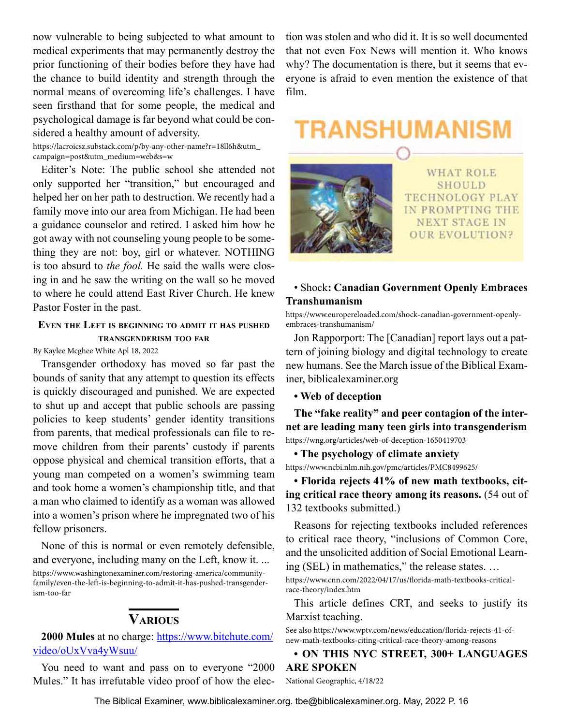<span id="page-15-0"></span>now vulnerable to being subjected to what amount to medical experiments that may permanently destroy the prior functioning of their bodies before they have had the chance to build identity and strength through the normal means of overcoming life's challenges. I have seen firsthand that for some people, the medical and psychological damage is far beyond what could be considered a healthy amount of adversity.

https://lacroicsz.substack.com/p/by-any-other-name?r=18ll6h&utm\_ campaign=post&utm\_medium=web&s=w

Editer's Note: The public school she attended not only supported her "transition," but encouraged and helped her on her path to destruction. We recently had a family move into our area from Michigan. He had been a guidance counselor and retired. I asked him how he got away with not counseling young people to be something they are not: boy, girl or whatever. NOTHING is too absurd to *the fool.* He said the walls were closing in and he saw the writing on the wall so he moved to where he could attend East River Church. He knew Pastor Foster in the past.

### **Even the Left is beginning to admit it has pushed transgenderism too far**

By Kaylee Mcghee White Apl 18, 2022

Transgender orthodoxy has moved so far past the bounds of sanity that any attempt to question its effects is quickly discouraged and punished. We are expected to shut up and accept that public schools are passing policies to keep students' gender identity transitions from parents, that medical professionals can file to remove children from their parents' custody if parents oppose physical and chemical transition efforts, that a young man competed on a women's swimming team and took home a women's championship title, and that a man who claimed to identify as a woman was allowed into a women's prison where he impregnated two of his fellow prisoners.

None of this is normal or even remotely defensible, and everyone, including many on the Left, know it. ... https://www.washingtonexaminer.com/restoring-america/communityfamily/even-the-left-is-beginning-to-admit-it-has-pushed-transgenderism-too-far

### **Various**

**2000 Mules** at no charge: [https://www.bitchute.com/](https://www.bitchute.com/video/oUxVva4yWsuu/) [video/oUxVva4yWsuu/](https://www.bitchute.com/video/oUxVva4yWsuu/)

You need to want and pass on to everyone "2000 Mules." It has irrefutable video proof of how the election was stolen and who did it. It is so well documented that not even Fox News will mention it. Who knows why? The documentation is there, but it seems that everyone is afraid to even mention the existence of that film.

# TRANSHUMANISM



**WHAT ROLE** SHOULD TECHNOLOGY PLAY IN PROMPTING THE **NEXT STAGE IN OUR EVOLUTION?** 

### • Shock**: Canadian Government Openly Embraces Transhumanism**

https://www.europereloaded.com/shock-canadian-government-openlyembraces-transhumanism/

Jon Rapporport: The [Canadian] report lays out a pattern of joining biology and digital technology to create new humans. See the March issue of the Biblical Examiner, biblicalexaminer.org

**• Web of deception**

**The "fake reality" and peer contagion of the internet are leading many teen girls into transgenderism** https://wng.org/articles/web-of-deception-1650419703

**• The psychology of climate anxiety**

https://www.ncbi.nlm.nih.gov/pmc/articles/PMC8499625/

**• Florida rejects 41% of new math textbooks, citing critical race theory among its reasons.** (54 out of 132 textbooks submitted.)

Reasons for rejecting textbooks included references to critical race theory, "inclusions of Common Core, and the unsolicited addition of Social Emotional Learning (SEL) in mathematics," the release states. …

https://www.cnn.com/2022/04/17/us/florida-math-textbooks-criticalrace-theory/index.htm

This article defines CRT, and seeks to justify its Marxist teaching.

See also https://www.wptv.com/news/education/florida-rejects-41-ofnew-math-textbooks-citing-critical-race-theory-among-reasons

**• ON THIS NYC STREET, 300+ LANGUAGES ARE SPOKEN**

National Geographic, 4/18/22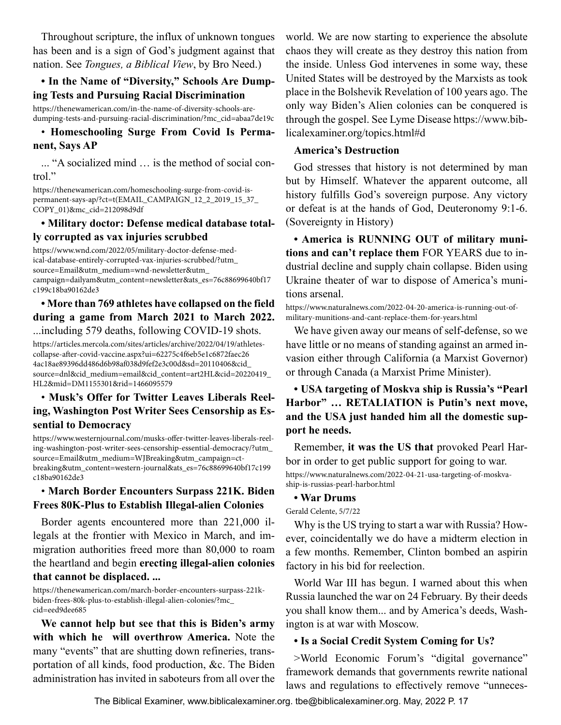Throughout scripture, the influx of unknown tongues has been and is a sign of God's judgment against that nation. See *Tongues, a Biblical View*, by Bro Need.)

### **• In the Name of "Diversity," Schools Are Dumping Tests and Pursuing Racial Discrimination**

https://thenewamerican.com/in-the-name-of-diversity-schools-aredumping-tests-and-pursuing-racial-discrimination/?mc\_cid=abaa7de19c

### • **Homeschooling Surge From Covid Is Permanent, Says AP**

... "A socialized mind … is the method of social control."

https://thenewamerican.com/homeschooling-surge-from-covid-ispermanent-says-ap/?ct=t(EMAIL\_CAMPAIGN\_12\_2\_2019\_15\_37\_ COPY\_01)&mc\_cid=212098d9df

### **• Military doctor: Defense medical database totally corrupted as vax injuries scrubbed**

https://www.wnd.com/2022/05/military-doctor-defense-medical-database-entirely-corrupted-vax-injuries-scrubbed/?utm\_ source=Email&utm\_medium=wnd-newsletter&utm\_ campaign=dailyam&utm\_content=newsletter&ats\_es=76c88699640bf17 c199c18ba90162de3

### **• More than 769 athletes have collapsed on the field during a game from March 2021 to March 2022.** ...including 579 deaths, following COVID-19 shots.

https://articles.mercola.com/sites/articles/archive/2022/04/19/athletescollapse-after-covid-vaccine.aspx?ui=62275c4f6eb5e1c6872faec26 4ac18ae89396dd486d6b98af038d9fef2e3c00d&sd=20110406&cid\_ source=dnl&cid\_medium=email&cid\_content=art2HL&cid=20220419\_ HL2&mid=DM1155301&rid=1466095579

### • **Musk's Offer for Twitter Leaves Liberals Reeling, Washington Post Writer Sees Censorship as Essential to Democracy**

https://www.westernjournal.com/musks-offer-twitter-leaves-liberals-reeling-washington-post-writer-sees-censorship-essential-democracy/?utm\_ source=Email&utm\_medium=WJBreaking&utm\_campaign=ctbreaking&utm\_content=western-journal&ats\_es=76c88699640bf17c199 c18ba90162de3

### • **March Border Encounters Surpass 221K. Biden Frees 80K-Plus to Establish Illegal-alien Colonies**

Border agents encountered more than 221,000 illegals at the frontier with Mexico in March, and immigration authorities freed more than 80,000 to roam the heartland and begin **erecting illegal-alien colonies that cannot be displaced. ...**

https://thenewamerican.com/march-border-encounters-surpass-221kbiden-frees-80k-plus-to-establish-illegal-alien-colonies/?mc\_ cid=eed9dee685

**We cannot help but see that this is Biden's army with which he will overthrow America.** Note the many "events" that are shutting down refineries, transportation of all kinds, food production, &c. The Biden administration has invited in saboteurs from all over the world. We are now starting to experience the absolute chaos they will create as they destroy this nation from the inside. Unless God intervenes in some way, these United States will be destroyed by the Marxists as took place in the Bolshevik Revelation of 100 years ago. The only way Biden's Alien colonies can be conquered is through the gospel. See Lyme Disease https://www.biblicalexaminer.org/topics.html#d

### **America's Destruction**

God stresses that history is not determined by man but by Himself. Whatever the apparent outcome, all history fulfills God's sovereign purpose. Any victory or defeat is at the hands of God, Deuteronomy 9:1-6. (Sovereignty in History)

**• America is RUNNING OUT of military munitions and can't replace them** FOR YEARS due to industrial decline and supply chain collapse. Biden using Ukraine theater of war to dispose of America's munitions arsenal.

https://www.naturalnews.com/2022-04-20-america-is-running-out-ofmilitary-munitions-and-cant-replace-them-for-years.html

We have given away our means of self-defense, so we have little or no means of standing against an armed invasion either through California (a Marxist Governor) or through Canada (a Marxist Prime Minister).

### **• USA targeting of Moskva ship is Russia's "Pearl Harbor" … RETALIATION is Putin's next move, and the USA just handed him all the domestic support he needs.**

Remember, **it was the US that** provoked Pearl Harbor in order to get public support for going to war. https://www.naturalnews.com/2022-04-21-usa-targeting-of-moskvaship-is-russias-pearl-harbor.html

### **• War Drums**

Gerald Celente, 5/7/22

Why is the US trying to start a war with Russia? However, coincidentally we do have a midterm election in a few months. Remember, Clinton bombed an aspirin factory in his bid for reelection.

World War III has begun. I warned about this when Russia launched the war on 24 February. By their deeds you shall know them... and by America's deeds, Washington is at war with Moscow.

### **• Is a Social Credit System Coming for Us?**

>World Economic Forum's "digital governance" framework demands that governments rewrite national laws and regulations to effectively remove "unneces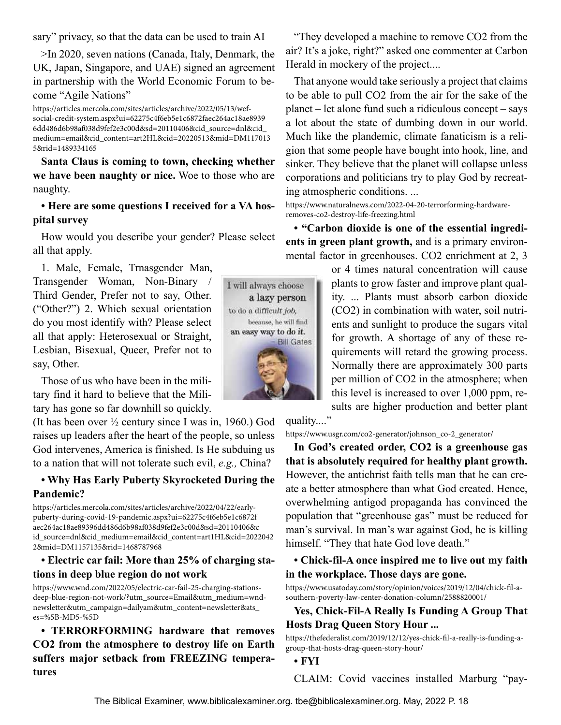sary" privacy, so that the data can be used to train AI

>In 2020, seven nations (Canada, Italy, Denmark, the UK, Japan, Singapore, and UAE) signed an agreement in partnership with the World Economic Forum to become "Agile Nations"

https://articles.mercola.com/sites/articles/archive/2022/05/13/wefsocial-credit-system.aspx?ui=62275c4f6eb5e1c6872faec264ac18ae8939 6dd486d6b98af038d9fef2e3c00d&sd=20110406&cid\_source=dnl&cid\_ medium=email&cid\_content=art2HL&cid=20220513&mid=DM117013 5&rid=1489334165

**Santa Claus is coming to town, checking whether we have been naughty or nice.** Woe to those who are naughty.

### **• Here are some questions I received for a VA hospital survey**

How would you describe your gender? Please select all that apply.

1. Male, Female, Trnasgender Man, Transgender Woman, Non-Binary / Third Gender, Prefer not to say, Other. ("Other?") 2. Which sexual orientation do you most identify with? Please select all that apply: Heterosexual or Straight, Lesbian, Bisexual, Queer, Prefer not to say, Other.

Those of us who have been in the military find it hard to believe that the Military has gone so far downhill so quickly.

(It has been over ½ century since I was in, 1960.) God raises up leaders after the heart of the people, so unless God intervenes, America is finished. Is He subduing us to a nation that will not tolerate such evil, *e.g.,* China?

### **• Why Has Early Puberty Skyrocketed During the Pandemic?**

https://articles.mercola.com/sites/articles/archive/2022/04/22/earlypuberty-during-covid-19-pandemic.aspx?ui=62275c4f6eb5e1c6872f aec264ac18ae89396dd486d6b98af038d9fef2e3c00d&sd=20110406&c id\_source=dnl&cid\_medium=email&cid\_content=art1HL&cid=2022042 2&mid=DM1157135&rid=1468787968

### **• Electric car fail: More than 25% of charging stations in deep blue region do not work**

https://www.wnd.com/2022/05/electric-car-fail-25-charging-stationsdeep-blue-region-not-work/?utm\_source=Email&utm\_medium=wndnewsletter&utm\_campaign=dailyam&utm\_content=newsletter&ats\_ es=%5B-MD5-%5D

**• TERRORFORMING hardware that removes CO2 from the atmosphere to destroy life on Earth suffers major setback from FREEZING temperatures**

"They developed a machine to remove CO2 from the air? It's a joke, right?" asked one commenter at Carbon Herald in mockery of the project....

That anyone would take seriously a project that claims to be able to pull CO2 from the air for the sake of the planet – let alone fund such a ridiculous concept – says a lot about the state of dumbing down in our world. Much like the plandemic, climate fanaticism is a religion that some people have bought into hook, line, and sinker. They believe that the planet will collapse unless corporations and politicians try to play God by recreating atmospheric conditions. ...

https://www.naturalnews.com/2022-04-20-terrorforming-hardwareremoves-co2-destroy-life-freezing.html

**• "Carbon dioxide is one of the essential ingredients in green plant growth,** and is a primary environmental factor in greenhouses. CO2 enrichment at 2, 3

> or 4 times natural concentration will cause plants to grow faster and improve plant quality. ... Plants must absorb carbon dioxide (CO2) in combination with water, soil nutrients and sunlight to produce the sugars vital for growth. A shortage of any of these requirements will retard the growing process. Normally there are approximately 300 parts per million of CO2 in the atmosphere; when this level is increased to over 1,000 ppm, results are higher production and better plant

quality...."

https://www.usgr.com/co2-generator/johnson\_co-2\_generator/

**In God's created order, CO2 is a greenhouse gas that is absolutely required for healthy plant growth.** However, the antichrist faith tells man that he can create a better atmosphere than what God created. Hence, overwhelming antigod propaganda has convinced the population that "greenhouse gas" must be reduced for man's survival. In man's war against God, he is killing himself. "They that hate God love death."

### **• Chick-fil-A once inspired me to live out my faith in the workplace. Those days are gone.**

https://www.usatoday.com/story/opinion/voices/2019/12/04/chick-fil-asouthern-poverty-law-center-donation-column/2588820001/

### **Yes, Chick-Fil-A Really Is Funding A Group That Hosts Drag Queen Story Hour ...**

https://thefederalist.com/2019/12/12/yes-chick-fil-a-really-is-funding-agroup-that-hosts-drag-queen-story-hour/

**• FYI**

CLAIM: Covid vaccines installed Marburg "pay-

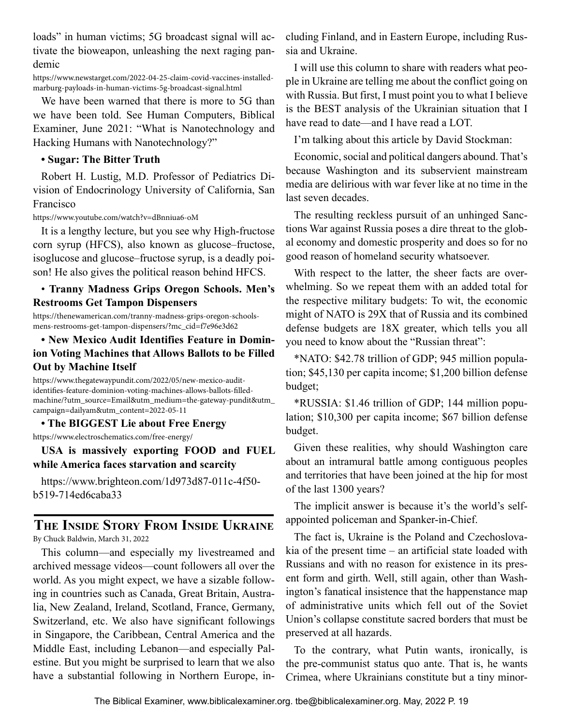<span id="page-18-0"></span>loads" in human victims; 5G broadcast signal will activate the bioweapon, unleashing the next raging pandemic

https://www.newstarget.com/2022-04-25-claim-covid-vaccines-installedmarburg-payloads-in-human-victims-5g-broadcast-signal.html

We have been warned that there is more to 5G than we have been told. See Human Computers, Biblical Examiner, June 2021: "What is Nanotechnology and Hacking Humans with Nanotechnology?"

### **• Sugar: The Bitter Truth**

Robert H. Lustig, M.D. Professor of Pediatrics Division of Endocrinology University of California, San Francisco

https://www.youtube.com/watch?v=dBnniua6-oM

It is a lengthy lecture, but you see why High-fructose corn syrup (HFCS), also known as glucose–fructose, isoglucose and glucose–fructose syrup, is a deadly poison! He also gives the political reason behind HFCS.

### • **Tranny Madness Grips Oregon Schools. Men's Restrooms Get Tampon Dispensers**

https://thenewamerican.com/tranny-madness-grips-oregon-schoolsmens-restrooms-get-tampon-dispensers/?mc\_cid=f7e96e3d62

### **• New Mexico Audit Identifies Feature in Dominion Voting Machines that Allows Ballots to be Filled Out by Machine Itself**

https://www.thegatewaypundit.com/2022/05/new-mexico-auditidentifies-feature-dominion-voting-machines-allows-ballots-filledmachine/?utm\_source=Email&utm\_medium=the-gateway-pundit&utm\_ campaign=dailyam&utm\_content=2022-05-11

### **• The BIGGEST Lie about Free Energy**

https://www.electroschematics.com/free-energy/

**USA is massively exporting FOOD and FUEL while America faces starvation and scarcity**

https://www.brighteon.com/1d973d87-011c-4f50 b519-714ed6caba33

# **The Inside Story From Inside Ukraine**

By Chuck Baldwin, March 31, 2022

This column—and especially my livestreamed and archived message videos—count followers all over the world. As you might expect, we have a sizable following in countries such as Canada, Great Britain, Australia, New Zealand, Ireland, Scotland, France, Germany, Switzerland, etc. We also have significant followings in Singapore, the Caribbean, Central America and the Middle East, including Lebanon—and especially Palestine. But you might be surprised to learn that we also have a substantial following in Northern Europe, including Finland, and in Eastern Europe, including Russia and Ukraine.

I will use this column to share with readers what people in Ukraine are telling me about the conflict going on with Russia. But first, I must point you to what I believe is the BEST analysis of the Ukrainian situation that I have read to date—and I have read a LOT.

I'm talking about this article by David Stockman:

Economic, social and political dangers abound. That's because Washington and its subservient mainstream media are delirious with war fever like at no time in the last seven decades.

The resulting reckless pursuit of an unhinged Sanctions War against Russia poses a dire threat to the global economy and domestic prosperity and does so for no good reason of homeland security whatsoever.

With respect to the latter, the sheer facts are overwhelming. So we repeat them with an added total for the respective military budgets: To wit, the economic might of NATO is 29X that of Russia and its combined defense budgets are 18X greater, which tells you all you need to know about the "Russian threat":

\*NATO: \$42.78 trillion of GDP; 945 million population; \$45,130 per capita income; \$1,200 billion defense budget;

\*RUSSIA: \$1.46 trillion of GDP; 144 million population; \$10,300 per capita income; \$67 billion defense budget.

Given these realities, why should Washington care about an intramural battle among contiguous peoples and territories that have been joined at the hip for most of the last 1300 years?

The implicit answer is because it's the world's selfappointed policeman and Spanker-in-Chief.

The fact is, Ukraine is the Poland and Czechoslovakia of the present time – an artificial state loaded with Russians and with no reason for existence in its present form and girth. Well, still again, other than Washington's fanatical insistence that the happenstance map of administrative units which fell out of the Soviet Union's collapse constitute sacred borders that must be preserved at all hazards.

To the contrary, what Putin wants, ironically, is the pre-communist status quo ante. That is, he wants Crimea, where Ukrainians constitute but a tiny minor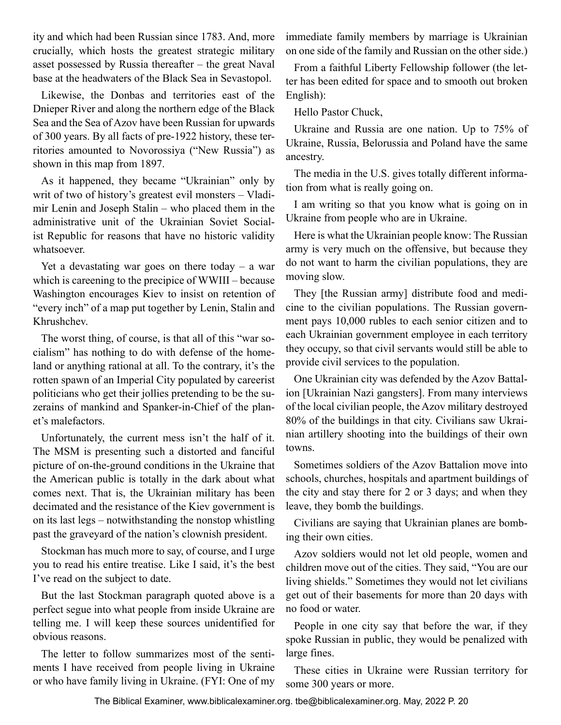ity and which had been Russian since 1783. And, more crucially, which hosts the greatest strategic military asset possessed by Russia thereafter – the great Naval base at the headwaters of the Black Sea in Sevastopol.

Likewise, the Donbas and territories east of the Dnieper River and along the northern edge of the Black Sea and the Sea of Azov have been Russian for upwards of 300 years. By all facts of pre-1922 history, these territories amounted to Novorossiya ("New Russia") as shown in this map from 1897.

As it happened, they became "Ukrainian" only by writ of two of history's greatest evil monsters – Vladimir Lenin and Joseph Stalin – who placed them in the administrative unit of the Ukrainian Soviet Socialist Republic for reasons that have no historic validity whatsoever.

Yet a devastating war goes on there today  $-$  a war which is careening to the precipice of WWIII – because Washington encourages Kiev to insist on retention of "every inch" of a map put together by Lenin, Stalin and Khrushchev.

The worst thing, of course, is that all of this "war socialism" has nothing to do with defense of the homeland or anything rational at all. To the contrary, it's the rotten spawn of an Imperial City populated by careerist politicians who get their jollies pretending to be the suzerains of mankind and Spanker-in-Chief of the planet's malefactors.

Unfortunately, the current mess isn't the half of it. The MSM is presenting such a distorted and fanciful picture of on-the-ground conditions in the Ukraine that the American public is totally in the dark about what comes next. That is, the Ukrainian military has been decimated and the resistance of the Kiev government is on its last legs – notwithstanding the nonstop whistling past the graveyard of the nation's clownish president.

Stockman has much more to say, of course, and I urge you to read his entire treatise. Like I said, it's the best I've read on the subject to date.

But the last Stockman paragraph quoted above is a perfect segue into what people from inside Ukraine are telling me. I will keep these sources unidentified for obvious reasons.

The letter to follow summarizes most of the sentiments I have received from people living in Ukraine or who have family living in Ukraine. (FYI: One of my

immediate family members by marriage is Ukrainian on one side of the family and Russian on the other side.)

From a faithful Liberty Fellowship follower (the letter has been edited for space and to smooth out broken English):

Hello Pastor Chuck,

Ukraine and Russia are one nation. Up to 75% of Ukraine, Russia, Belorussia and Poland have the same ancestry.

The media in the U.S. gives totally different information from what is really going on.

I am writing so that you know what is going on in Ukraine from people who are in Ukraine.

Here is what the Ukrainian people know: The Russian army is very much on the offensive, but because they do not want to harm the civilian populations, they are moving slow.

They [the Russian army] distribute food and medicine to the civilian populations. The Russian government pays 10,000 rubles to each senior citizen and to each Ukrainian government employee in each territory they occupy, so that civil servants would still be able to provide civil services to the population.

One Ukrainian city was defended by the Azov Battalion [Ukrainian Nazi gangsters]. From many interviews of the local civilian people, the Azov military destroyed 80% of the buildings in that city. Civilians saw Ukrainian artillery shooting into the buildings of their own towns.

Sometimes soldiers of the Azov Battalion move into schools, churches, hospitals and apartment buildings of the city and stay there for 2 or 3 days; and when they leave, they bomb the buildings.

Civilians are saying that Ukrainian planes are bombing their own cities.

Azov soldiers would not let old people, women and children move out of the cities. They said, "You are our living shields." Sometimes they would not let civilians get out of their basements for more than 20 days with no food or water.

People in one city say that before the war, if they spoke Russian in public, they would be penalized with large fines.

These cities in Ukraine were Russian territory for some 300 years or more.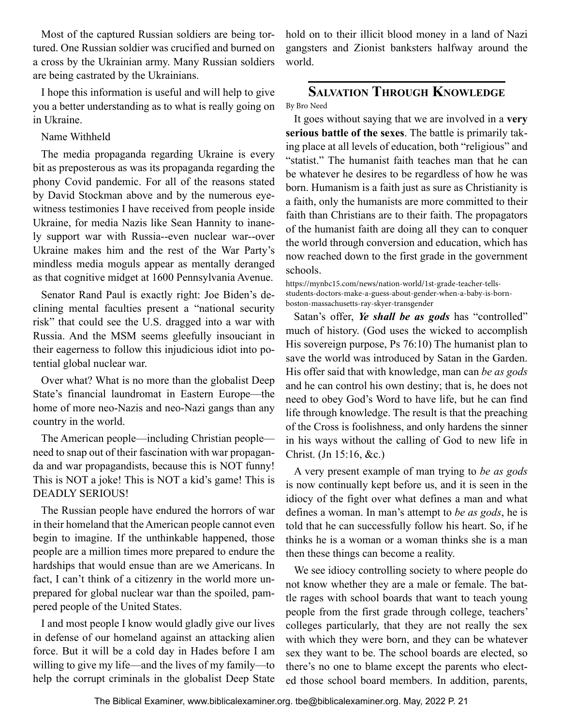<span id="page-20-0"></span>Most of the captured Russian soldiers are being tortured. One Russian soldier was crucified and burned on a cross by the Ukrainian army. Many Russian soldiers are being castrated by the Ukrainians.

I hope this information is useful and will help to give you a better understanding as to what is really going on in Ukraine.

Name Withheld

The media propaganda regarding Ukraine is every bit as preposterous as was its propaganda regarding the phony Covid pandemic. For all of the reasons stated by David Stockman above and by the numerous eyewitness testimonies I have received from people inside Ukraine, for media Nazis like Sean Hannity to inanely support war with Russia--even nuclear war--over Ukraine makes him and the rest of the War Party's mindless media moguls appear as mentally deranged as that cognitive midget at 1600 Pennsylvania Avenue.

Senator Rand Paul is exactly right: Joe Biden's declining mental faculties present a "national security risk" that could see the U.S. dragged into a war with Russia. And the MSM seems gleefully insouciant in their eagerness to follow this injudicious idiot into potential global nuclear war.

Over what? What is no more than the globalist Deep State's financial laundromat in Eastern Europe—the home of more neo-Nazis and neo-Nazi gangs than any country in the world.

The American people—including Christian people need to snap out of their fascination with war propaganda and war propagandists, because this is NOT funny! This is NOT a joke! This is NOT a kid's game! This is DEADLY SERIOUS!

The Russian people have endured the horrors of war in their homeland that the American people cannot even begin to imagine. If the unthinkable happened, those people are a million times more prepared to endure the hardships that would ensue than are we Americans. In fact, I can't think of a citizenry in the world more unprepared for global nuclear war than the spoiled, pampered people of the United States.

I and most people I know would gladly give our lives in defense of our homeland against an attacking alien force. But it will be a cold day in Hades before I am willing to give my life—and the lives of my family—to help the corrupt criminals in the globalist Deep State hold on to their illicit blood money in a land of Nazi gangsters and Zionist banksters halfway around the world.

### **Salvation Through Knowledge** By Bro Need

It goes without saying that we are involved in a **very serious battle of the sexes**. The battle is primarily taking place at all levels of education, both "religious" and "statist." The humanist faith teaches man that he can be whatever he desires to be regardless of how he was born. Humanism is a faith just as sure as Christianity is a faith, only the humanists are more committed to their faith than Christians are to their faith. The propagators of the humanist faith are doing all they can to conquer the world through conversion and education, which has now reached down to the first grade in the government schools.

https://mynbc15.com/news/nation-world/1st-grade-teacher-tellsstudents-doctors-make-a-guess-about-gender-when-a-baby-is-bornboston-massachusetts-ray-skyer-transgender

Satan's offer, *Ye shall be as gods* has "controlled" much of history. (God uses the wicked to accomplish His sovereign purpose, Ps 76:10) The humanist plan to save the world was introduced by Satan in the Garden. His offer said that with knowledge, man can *be as gods* and he can control his own destiny; that is, he does not need to obey God's Word to have life, but he can find life through knowledge. The result is that the preaching of the Cross is foolishness, and only hardens the sinner in his ways without the calling of God to new life in Christ. (Jn 15:16, &c.)

A very present example of man trying to *be as gods* is now continually kept before us, and it is seen in the idiocy of the fight over what defines a man and what defines a woman. In man's attempt to *be as gods*, he is told that he can successfully follow his heart. So, if he thinks he is a woman or a woman thinks she is a man then these things can become a reality.

We see idiocy controlling society to where people do not know whether they are a male or female. The battle rages with school boards that want to teach young people from the first grade through college, teachers' colleges particularly, that they are not really the sex with which they were born, and they can be whatever sex they want to be. The school boards are elected, so there's no one to blame except the parents who elected those school board members. In addition, parents,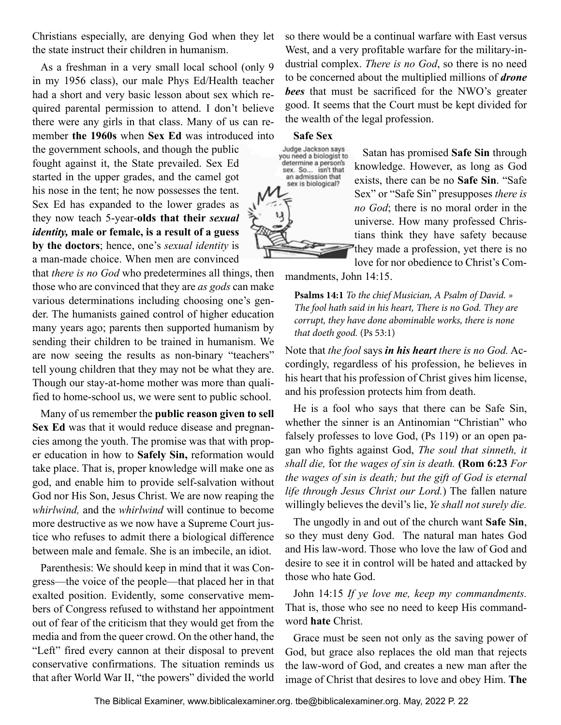Christians especially, are denying God when they let the state instruct their children in humanism.

As a freshman in a very small local school (only 9 in my 1956 class), our male Phys Ed/Health teacher had a short and very basic lesson about sex which required parental permission to attend. I don't believe there were any girls in that class. Many of us can remember **the 1960s** when **Sex Ed** was introduced into

the government schools, and though the public fought against it, the State prevailed. Sex Ed started in the upper grades, and the camel got his nose in the tent; he now possesses the tent. Sex Ed has expanded to the lower grades as they now teach 5-year-**olds that their** *sexual identity,* **male or female, is a result of a guess by the doctors**; hence, one's *sexual identity* is a man-made choice. When men are convinced

that *there is no God* who predetermines all things, then those who are convinced that they are *as gods* can make various determinations including choosing one's gender. The humanists gained control of higher education many years ago; parents then supported humanism by sending their children to be trained in humanism. We are now seeing the results as non-binary "teachers" tell young children that they may not be what they are. Though our stay-at-home mother was more than qualified to home-school us, we were sent to public school.

Many of us remember the **public reason given to sell Sex Ed** was that it would reduce disease and pregnancies among the youth. The promise was that with proper education in how to **Safely Sin,** reformation would take place. That is, proper knowledge will make one as god, and enable him to provide self-salvation without God nor His Son, Jesus Christ. We are now reaping the *whirlwind,* and the *whirlwind* will continue to become more destructive as we now have a Supreme Court justice who refuses to admit there a biological difference between male and female. She is an imbecile, an idiot.

Parenthesis: We should keep in mind that it was Congress—the voice of the people—that placed her in that exalted position. Evidently, some conservative members of Congress refused to withstand her appointment out of fear of the criticism that they would get from the media and from the queer crowd. On the other hand, the "Left" fired every cannon at their disposal to prevent conservative confirmations. The situation reminds us that after World War II, "the powers" divided the world so there would be a continual warfare with East versus West, and a very profitable warfare for the military-industrial complex. *There is no God*, so there is no need to be concerned about the multiplied millions of *drone bees* that must be sacrificed for the NWO's greater good. It seems that the Court must be kept divided for the wealth of the legal profession.

### **Safe Sex**



Satan has promised **Safe Sin** through knowledge. However, as long as God exists, there can be no **Safe Sin**. "Safe Sex" or "Safe Sin" presupposes *there is no God*; there is no moral order in the universe. How many professed Christians think they have safety because they made a profession, yet there is no

love for nor obedience to Christ's Com-

mandments, John 14:15.

**Psalms 14:1** *To the chief Musician, A Psalm of David. » The fool hath said in his heart, There is no God. They are corrupt, they have done abominable works, there is none that doeth good.* (Ps 53:1)

Note that *the fool* says *in his heart there is no God.* Accordingly, regardless of his profession, he believes in his heart that his profession of Christ gives him license, and his profession protects him from death.

He is a fool who says that there can be Safe Sin, whether the sinner is an Antinomian "Christian" who falsely professes to love God, (Ps 119) or an open pagan who fights against God, *The soul that sinneth, it shall die,* for *the wages of sin is death.* **(Rom 6:23** *For the wages of sin is death; but the gift of God is eternal life through Jesus Christ our Lord.*) The fallen nature willingly believes the devil's lie, *Ye shall not surely die.*

The ungodly in and out of the church want **Safe Sin**, so they must deny God. The natural man hates God and His law-word. Those who love the law of God and desire to see it in control will be hated and attacked by those who hate God.

John 14:15 *If ye love me, keep my commandments.* That is, those who see no need to keep His commandword **hate** Christ.

Grace must be seen not only as the saving power of God, but grace also replaces the old man that rejects the law-word of God, and creates a new man after the image of Christ that desires to love and obey Him. **The**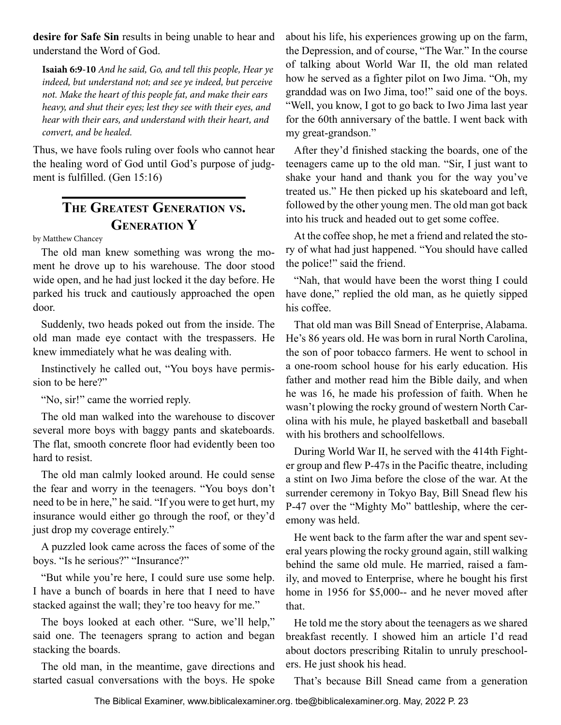<span id="page-22-0"></span>**desire for Safe Sin** results in being unable to hear and understand the Word of God.

**Isaiah 6:9-10** *And he said, Go, and tell this people, Hear ye indeed, but understand not; and see ye indeed, but perceive not. Make the heart of this people fat, and make their ears heavy, and shut their eyes; lest they see with their eyes, and hear with their ears, and understand with their heart, and convert, and be healed.*

Thus, we have fools ruling over fools who cannot hear the healing word of God until God's purpose of judgment is fulfilled. (Gen 15:16)

# **The Greatest Generation vs. Generation Y**

by Matthew Chancey

The old man knew something was wrong the moment he drove up to his warehouse. The door stood wide open, and he had just locked it the day before. He parked his truck and cautiously approached the open door.

Suddenly, two heads poked out from the inside. The old man made eye contact with the trespassers. He knew immediately what he was dealing with.

Instinctively he called out, "You boys have permission to be here?"

"No, sir!" came the worried reply.

The old man walked into the warehouse to discover several more boys with baggy pants and skateboards. The flat, smooth concrete floor had evidently been too hard to resist.

The old man calmly looked around. He could sense the fear and worry in the teenagers. "You boys don't need to be in here," he said. "If you were to get hurt, my insurance would either go through the roof, or they'd just drop my coverage entirely."

A puzzled look came across the faces of some of the boys. "Is he serious?" "Insurance?"

"But while you're here, I could sure use some help. I have a bunch of boards in here that I need to have stacked against the wall; they're too heavy for me."

The boys looked at each other. "Sure, we'll help," said one. The teenagers sprang to action and began stacking the boards.

The old man, in the meantime, gave directions and started casual conversations with the boys. He spoke

about his life, his experiences growing up on the farm, the Depression, and of course, "The War." In the course of talking about World War II, the old man related how he served as a fighter pilot on Iwo Jima. "Oh, my granddad was on Iwo Jima, too!" said one of the boys. "Well, you know, I got to go back to Iwo Jima last year for the 60th anniversary of the battle. I went back with my great-grandson."

After they'd finished stacking the boards, one of the teenagers came up to the old man. "Sir, I just want to shake your hand and thank you for the way you've treated us." He then picked up his skateboard and left, followed by the other young men. The old man got back into his truck and headed out to get some coffee.

At the coffee shop, he met a friend and related the story of what had just happened. "You should have called the police!" said the friend.

"Nah, that would have been the worst thing I could have done," replied the old man, as he quietly sipped his coffee.

That old man was Bill Snead of Enterprise, Alabama. He's 86 years old. He was born in rural North Carolina, the son of poor tobacco farmers. He went to school in a one-room school house for his early education. His father and mother read him the Bible daily, and when he was 16, he made his profession of faith. When he wasn't plowing the rocky ground of western North Carolina with his mule, he played basketball and baseball with his brothers and schoolfellows.

During World War II, he served with the 414th Fighter group and flew P-47s in the Pacific theatre, including a stint on Iwo Jima before the close of the war. At the surrender ceremony in Tokyo Bay, Bill Snead flew his P-47 over the "Mighty Mo" battleship, where the ceremony was held.

He went back to the farm after the war and spent several years plowing the rocky ground again, still walking behind the same old mule. He married, raised a family, and moved to Enterprise, where he bought his first home in 1956 for \$5,000-- and he never moved after that.

He told me the story about the teenagers as we shared breakfast recently. I showed him an article I'd read about doctors prescribing Ritalin to unruly preschoolers. He just shook his head.

That's because Bill Snead came from a generation